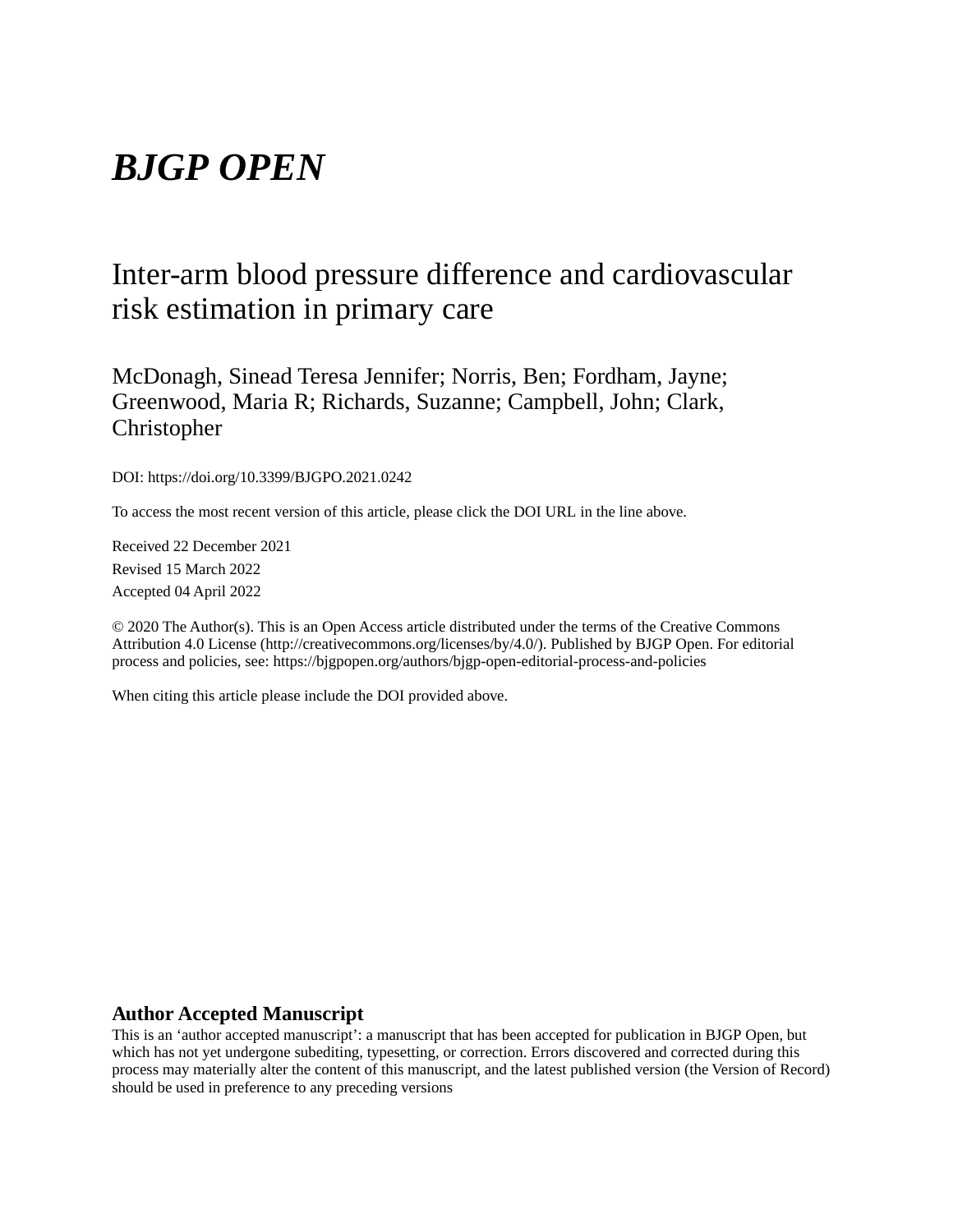# *BJGP OPEN*

# Inter-arm blood pressure difference and cardiovascular risk estimation in primary care

McDonagh, Sinead Teresa Jennifer; Norris, Ben; Fordham, Jayne; Greenwood, Maria R; Richards, Suzanne; Campbell, John; Clark, Christopher

DOI: https://doi.org/10.3399/BJGPO.2021.0242

To access the most recent version of this article, please click the DOI URL in the line above.

Received 22 December 2021 Revised 15 March 2022 Accepted 04 April 2022

© 2020 The Author(s). This is an Open Access article distributed under the terms of the Creative Commons Attribution 4.0 License (http://creativecommons.org/licenses/by/4.0/). Published by BJGP Open. For editorial process and policies, see: https://bjgpopen.org/authors/bjgp-open-editorial-process-and-policies

When citing this article please include the DOI provided above.

#### **Author Accepted Manuscript**

This is an 'author accepted manuscript': a manuscript that has been accepted for publication in BJGP Open, but which has not yet undergone subediting, typesetting, or correction. Errors discovered and corrected during this process may materially alter the content of this manuscript, and the latest published version (the Version of Record) should be used in preference to any preceding versions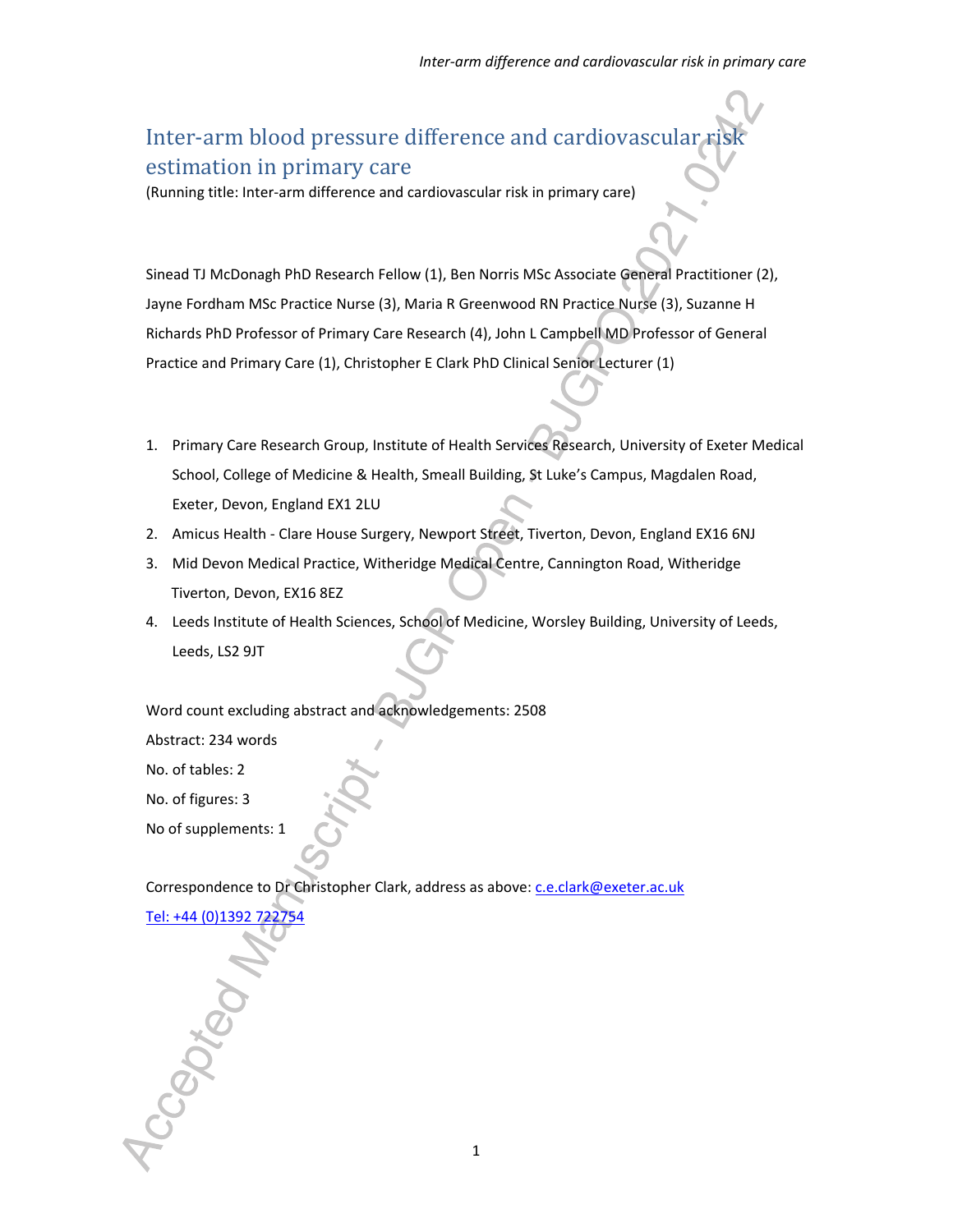# Inter-arm blood pressure difference and cardiovascular risk estimation in primary care

(Running title: Inter-arm difference and cardiovascular risk in primary care)

Sinead TJ McDonagh PhD Research Fellow (1), Ben Norris MSc Associate General Practitioner (2), Jayne Fordham MSc Practice Nurse (3), Maria R Greenwood RN Practice Nurse (3), Suzanne H Richards PhD Professor of Primary Care Research (4), John L Campbell MD Professor of General Practice and Primary Care (1), Christopher E Clark PhD Clinical Senior Lecturer (1)

- 1. Primary Care Research Group, Institute of Health Services Research, University of Exeter Medical School, College of Medicine & Health, Smeall Building, St Luke's Campus, Magdalen Road, Exeter, Devon, England EX1 2LU
- 2. Amicus Health Clare House Surgery, Newport Street, Tiverton, Devon, England EX16 6NJ
- 3. Mid Devon Medical Practice, Witheridge Medical Centre, Cannington Road, Witheridge Tiverton, Devon, EX16 8EZ
- 4. Leeds Institute of Health Sciences, School of Medicine, Worsley Building, University of Leeds, Leeds, LS2 9JT

Word count excluding abstract and acknowledgements: 2508

Abstract: 234 words

No. of tables: 2

No. of figures: 3

No of supplements: 1

Correspondence to Dr Christopher Clark, address as above: c.e.clark@exeter.ac.uk

Tel: +44 (0)1392 722754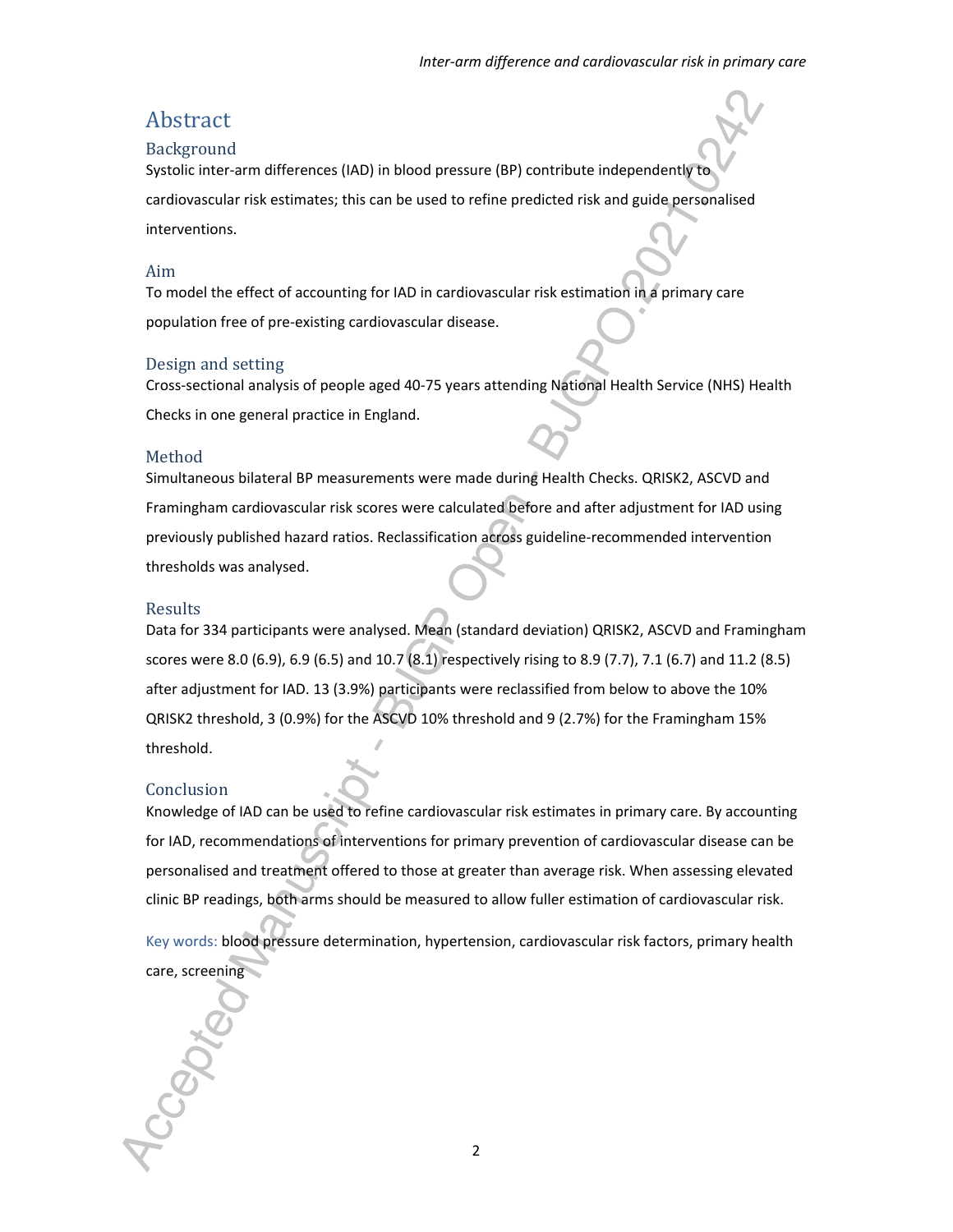# Abstract

#### Background

Systolic inter-arm differences (IAD) in blood pressure (BP) contribute independently to

cardiovascular risk estimates; this can be used to refine predicted risk and guide personalised interventions.

#### Aim

To model the effect of accounting for IAD in cardiovascular risk estimation in a primary care population free of pre-existing cardiovascular disease.

#### Design and setting

Cross-sectional analysis of people aged 40-75 years attending National Health Service (NHS) Health Checks in one general practice in England.

#### Method

Simultaneous bilateral BP measurements were made during Health Checks. QRISK2, ASCVD and Framingham cardiovascular risk scores were calculated before and after adjustment for IAD using previously published hazard ratios. Reclassification across guideline-recommended intervention thresholds was analysed.

#### Results

Data for 334 participants were analysed. Mean (standard deviation) QRISK2, ASCVD and Framingham scores were 8.0 (6.9), 6.9 (6.5) and 10.7 (8.1) respectively rising to 8.9 (7.7), 7.1 (6.7) and 11.2 (8.5) after adjustment for IAD. 13 (3.9%) participants were reclassified from below to above the 10% QRISK2 threshold, 3 (0.9%) for the ASCVD 10% threshold and 9 (2.7%) for the Framingham 15% threshold.

#### Conclusion

Knowledge of IAD can be used to refine cardiovascular risk estimates in primary care. By accounting for IAD, recommendations of interventions for primary prevention of cardiovascular disease can be personalised and treatment offered to those at greater than average risk. When assessing elevated clinic BP readings, both arms should be measured to allow fuller estimation of cardiovascular risk.

Key words: blood pressure determination, hypertension, cardiovascular risk factors, primary health care, screening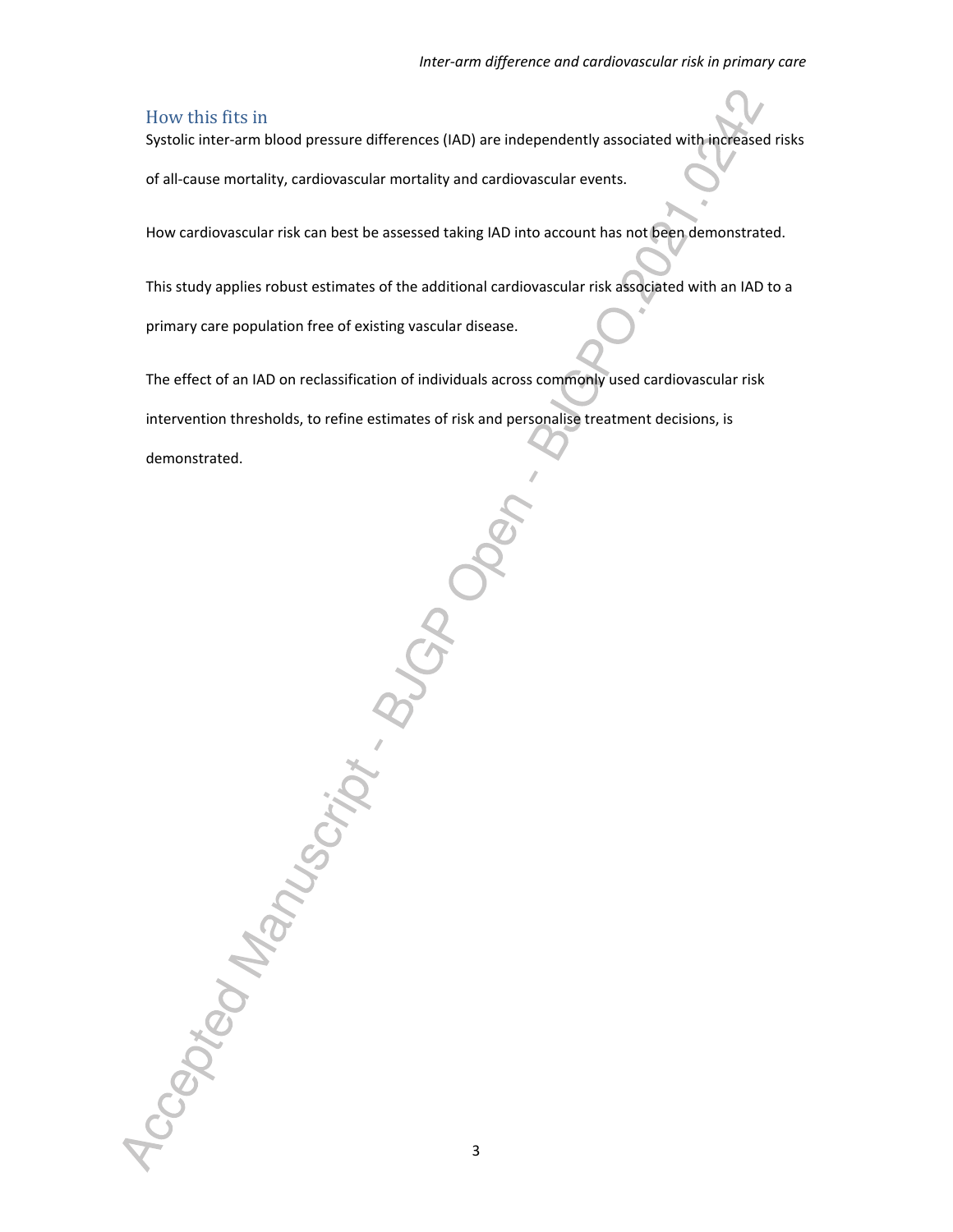#### How this fits in

Systolic inter-arm blood pressure differences (IAD) are independently associated with increased risks

of all-cause mortality, cardiovascular mortality and cardiovascular events.

How cardiovascular risk can best be assessed taking IAD into account has not been demonstrated.

This study applies robust estimates of the additional cardiovascular risk associated with an IAD to a primary care population free of existing vascular disease.

The effect of an IAD on reclassification of individuals across commonly used cardiovascular risk

intervention thresholds, to refine estimates of risk and personalise treatment decisions, is

demonstrated.

Accepted Manuscript.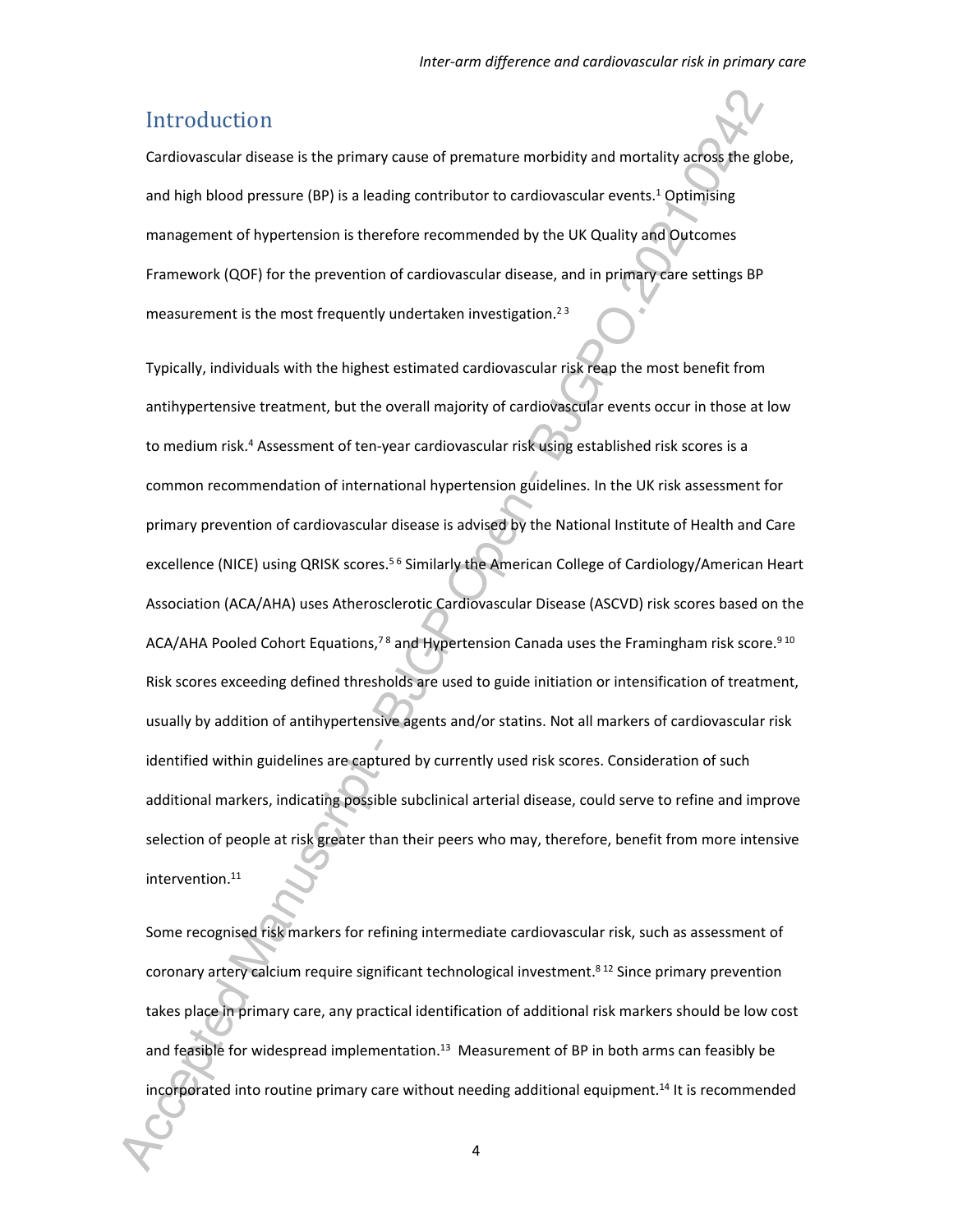### Introduction

Cardiovascular disease is the primary cause of premature morbidity and mortality across the globe, and high blood pressure (BP) is a leading contributor to cardiovascular events.<sup>1</sup> Optimising management of hypertension is therefore recommended by the UK Quality and Outcomes Framework (QOF) for the prevention of cardiovascular disease, and in primary care settings BP measurement is the most frequently undertaken investigation.<sup>23</sup>

Typically, individuals with the highest estimated cardiovascular risk reap the most benefit from antihypertensive treatment, but the overall majority of cardiovascular events occur in those at low to medium risk.<sup>4</sup> Assessment of ten-year cardiovascular risk using established risk scores is a common recommendation of international hypertension guidelines. In the UK risk assessment for primary prevention of cardiovascular disease is advised by the National Institute of Health and Care excellence (NICE) using QRISK scores.<sup>56</sup> Similarly the American College of Cardiology/American Heart Association (ACA/AHA) uses Atherosclerotic Cardiovascular Disease (ASCVD) risk scores based on the ACA/AHA Pooled Cohort Equations,<sup>78</sup> and Hypertension Canada uses the Framingham risk score.<sup>910</sup> Risk scores exceeding defined thresholds are used to guide initiation or intensification of treatment, usually by addition of antihypertensive agents and/or statins. Not all markers of cardiovascular risk identified within guidelines are captured by currently used risk scores. Consideration of such additional markers, indicating possible subclinical arterial disease, could serve to refine and improve selection of people at risk greater than their peers who may, therefore, benefit from more intensive intervention.<sup>11</sup>

Some recognised risk markers for refining intermediate cardiovascular risk, such as assessment of coronary artery calcium require significant technological investment.<sup>812</sup> Since primary prevention takes place in primary care, any practical identification of additional risk markers should be low cost and feasible for widespread implementation.<sup>13</sup> Measurement of BP in both arms can feasibly be incorporated into routine primary care without needing additional equipment.14 It is recommended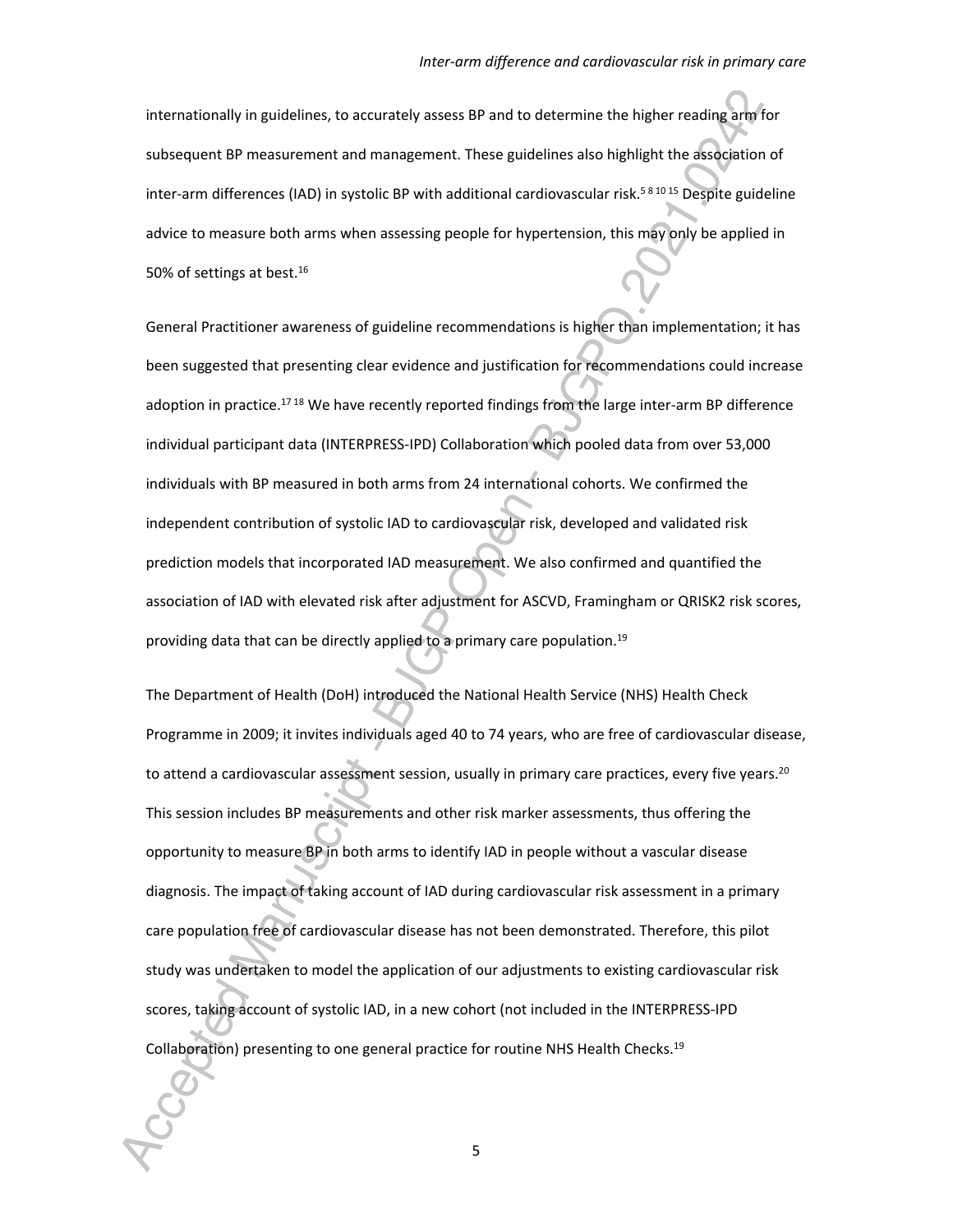internationally in guidelines, to accurately assess BP and to determine the higher reading arm for subsequent BP measurement and management. These guidelines also highlight the association of inter-arm differences (IAD) in systolic BP with additional cardiovascular risk.<sup>58 1015</sup> Despite guideline advice to measure both arms when assessing people for hypertension, this may only be applied in 50% of settings at best.<sup>16</sup>

General Practitioner awareness of guideline recommendations is higher than implementation; it has been suggested that presenting clear evidence and justification for recommendations could increase adoption in practice.<sup>1718</sup> We have recently reported findings from the large inter-arm BP difference individual participant data (INTERPRESS-IPD) Collaboration which pooled data from over 53,000 individuals with BP measured in both arms from 24 international cohorts. We confirmed the independent contribution of systolic IAD to cardiovascular risk, developed and validated risk prediction models that incorporated IAD measurement. We also confirmed and quantified the association of IAD with elevated risk after adjustment for ASCVD, Framingham or QRISK2 risk scores, providing data that can be directly applied to a primary care population.<sup>19</sup>

The Department of Health (DoH) introduced the National Health Service (NHS) Health Check Programme in 2009; it invites individuals aged 40 to 74 years, who are free of cardiovascular disease, to attend a cardiovascular assessment session, usually in primary care practices, every five years.<sup>20</sup> This session includes BP measurements and other risk marker assessments, thus offering the opportunity to measure BP in both arms to identify IAD in people without a vascular disease diagnosis. The impact of taking account of IAD during cardiovascular risk assessment in a primary care population free of cardiovascular disease has not been demonstrated. Therefore, this pilot study was undertaken to model the application of our adjustments to existing cardiovascular risk scores, taking account of systolic IAD, in a new cohort (not included in the INTERPRESS-IPD Collaboration) presenting to one general practice for routine NHS Health Checks.19

5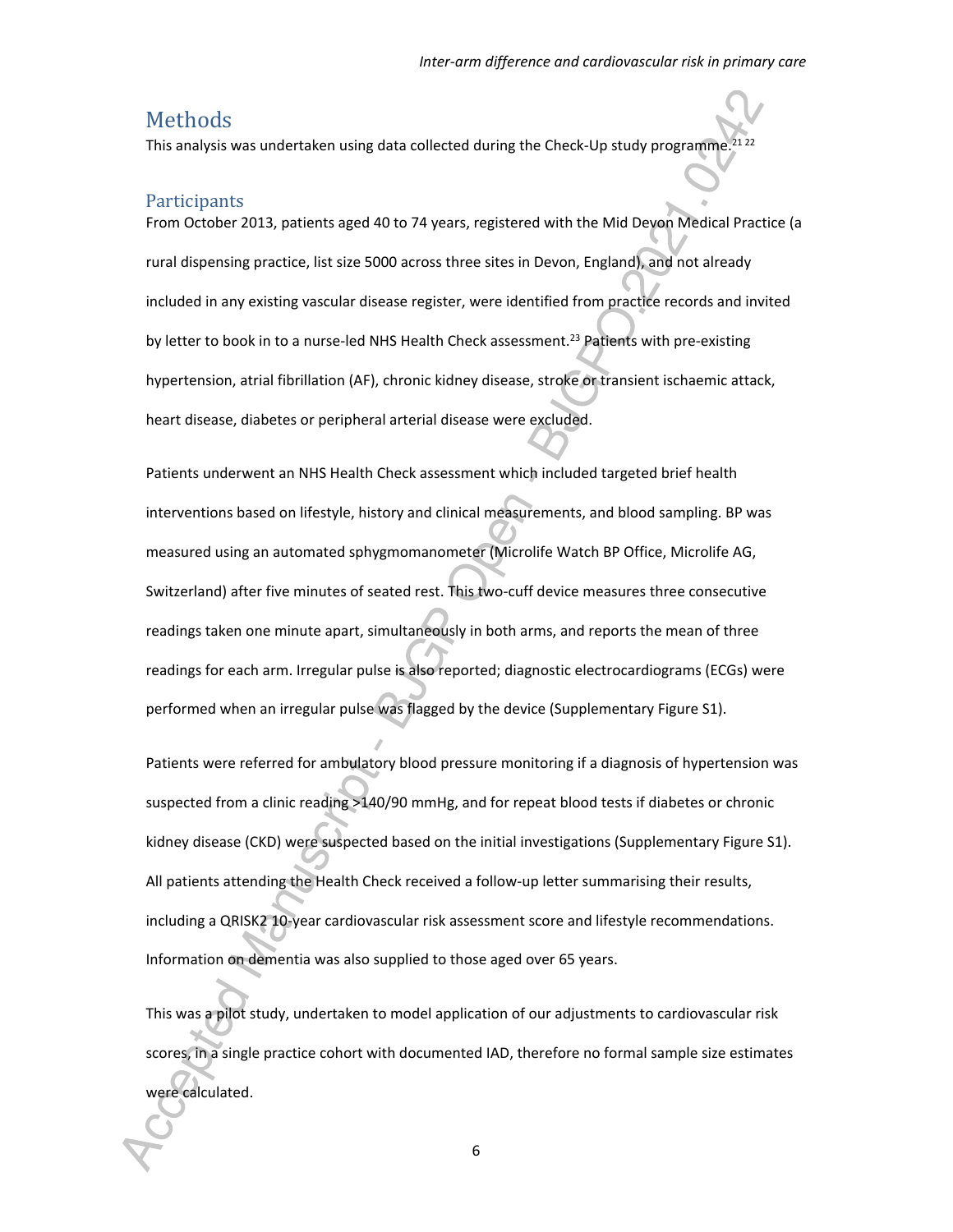### Methods

This analysis was undertaken using data collected during the Check-Up study programme

#### **Participants**

From October 2013, patients aged 40 to 74 years, registered with the Mid Devon Medical Practice (a rural dispensing practice, list size 5000 across three sites in Devon, England), and not already included in any existing vascular disease register, were identified from practice records and invited by letter to book in to a nurse-led NHS Health Check assessment.<sup>23</sup> Patients with pre-existing hypertension, atrial fibrillation (AF), chronic kidney disease, stroke or transient ischaemic attack, heart disease, diabetes or peripheral arterial disease were excluded.

Patients underwent an NHS Health Check assessment which included targeted brief health interventions based on lifestyle, history and clinical measurements, and blood sampling. BP was measured using an automated sphygmomanometer (Microlife Watch BP Office, Microlife AG, Switzerland) after five minutes of seated rest. This two-cuff device measures three consecutive readings taken one minute apart, simultaneously in both arms, and reports the mean of three readings for each arm. Irregular pulse is also reported; diagnostic electrocardiograms (ECGs) were performed when an irregular pulse was flagged by the device (Supplementary Figure S1).

Patients were referred for ambulatory blood pressure monitoring if a diagnosis of hypertension was suspected from a clinic reading >140/90 mmHg, and for repeat blood tests if diabetes or chronic kidney disease (CKD) were suspected based on the initial investigations (Supplementary Figure S1). All patients attending the Health Check received a follow-up letter summarising their results, including a QRISK2 10-year cardiovascular risk assessment score and lifestyle recommendations. Information on dementia was also supplied to those aged over 65 years.

This was a pilot study, undertaken to model application of our adjustments to cardiovascular risk scores, in a single practice cohort with documented IAD, therefore no formal sample size estimates were calculated.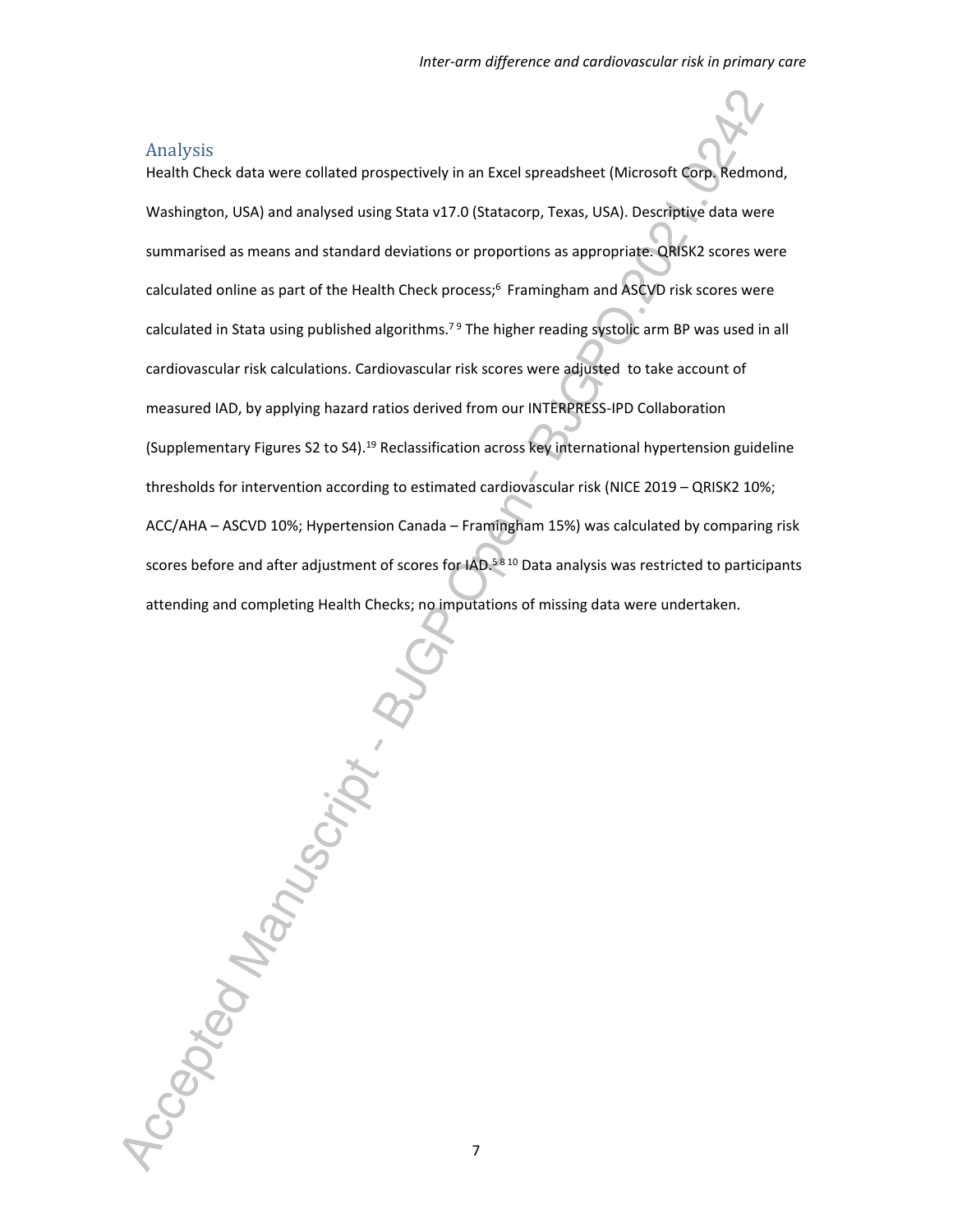#### Analysis

Health Check data were collated prospectively in an Excel spreadsheet (Microsoft Corp. Redmond, Washington, USA) and analysed using Stata v17.0 (Statacorp, Texas, USA). Descriptive data were summarised as means and standard deviations or proportions as appropriate. QRISK2 scores were calculated online as part of the Health Check process;<sup>6</sup> Framingham and ASCVD risk scores were calculated in Stata using published algorithms.<sup>79</sup> The higher reading systolic arm BP was used in all cardiovascular risk calculations. Cardiovascular risk scores were adjusted to take account of measured IAD, by applying hazard ratios derived from our INTERPRESS-IPD Collaboration (Supplementary Figures S2 to S4).<sup>19</sup> Reclassification across key international hypertension guideline thresholds for intervention according to estimated cardiovascular risk (NICE 2019 – QRISK2 10%; ACC/AHA – ASCVD 10%; Hypertension Canada – Framingham 15%) was calculated by comparing risk scores before and after adjustment of scores for IAD.<sup>58 10</sup> Data analysis was restricted to participants attending and completing Health Checks; no imputations of missing data were undertaken.

Accepted Manuscript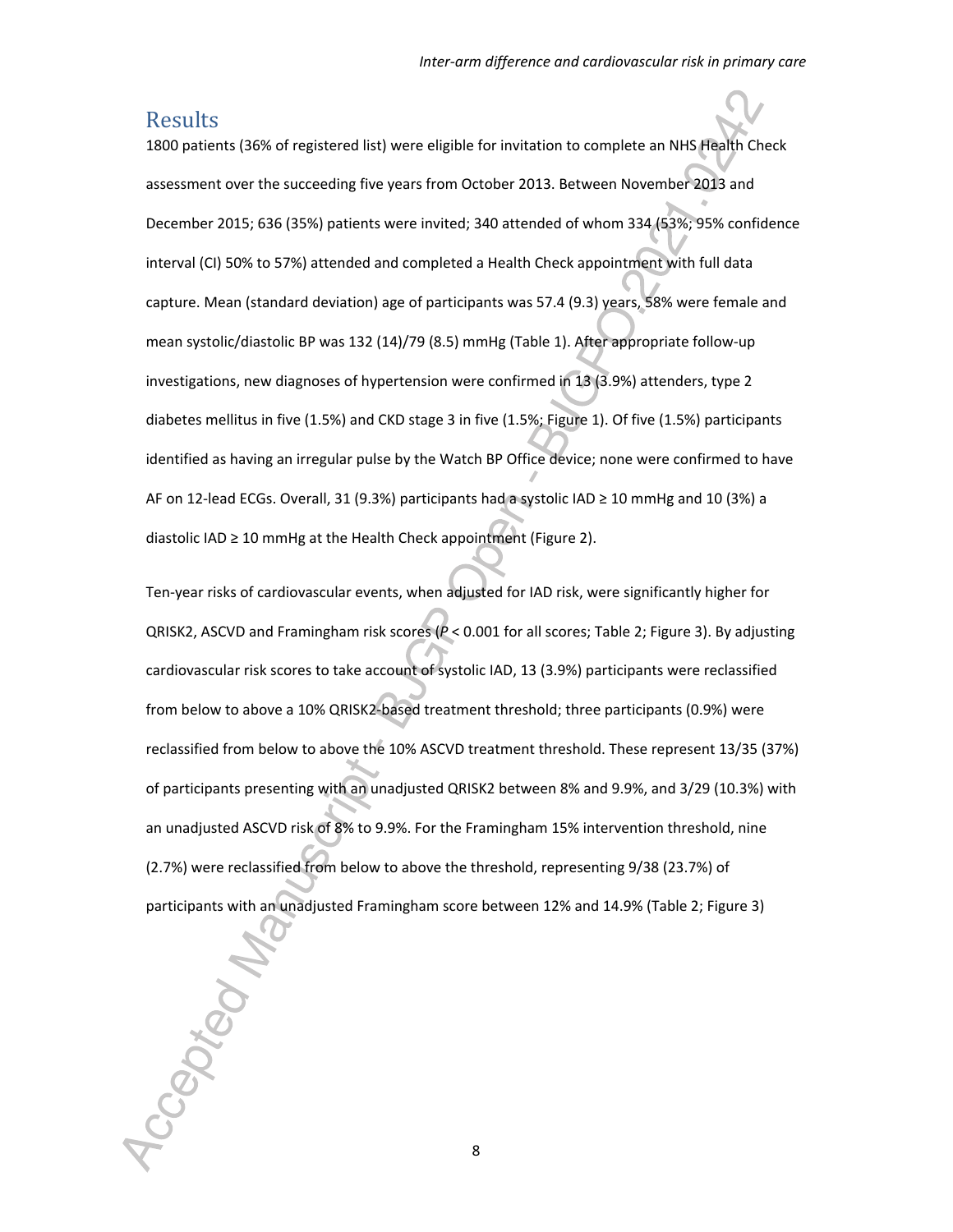### Results

1800 patients (36% of registered list) were eligible for invitation to complete an NHS Health Check assessment over the succeeding five years from October 2013. Between November 2013 and December 2015; 636 (35%) patients were invited; 340 attended of whom 334 (53%; 95% confidence interval (CI) 50% to 57%) attended and completed a Health Check appointment with full data capture. Mean (standard deviation) age of participants was 57.4 (9.3) years, 58% were female and mean systolic/diastolic BP was 132 (14)/79 (8.5) mmHg (Table 1). After appropriate follow-up investigations, new diagnoses of hypertension were confirmed in 13 (3.9%) attenders, type 2 diabetes mellitus in five (1.5%) and CKD stage 3 in five (1.5%; Figure 1). Of five (1.5%) participants identified as having an irregular pulse by the Watch BP Office device; none were confirmed to have AF on 12-lead ECGs. Overall, 31 (9.3%) participants had a systolic IAD ≥ 10 mmHg and 10 (3%) a diastolic IAD ≥ 10 mmHg at the Health Check appointment (Figure 2).

Ten-year risks of cardiovascular events, when adjusted for IAD risk, were significantly higher for QRISK2, ASCVD and Framingham risk scores (*P* < 0.001 for all scores; Table 2; Figure 3). By adjusting cardiovascular risk scores to take account of systolic IAD, 13 (3.9%) participants were reclassified from below to above a 10% QRISK2-based treatment threshold; three participants (0.9%) were reclassified from below to above the 10% ASCVD treatment threshold. These represent 13/35 (37%) of participants presenting with an unadjusted QRISK2 between 8% and 9.9%, and 3/29 (10.3%) with an unadjusted ASCVD risk of 8% to 9.9%. For the Framingham 15% intervention threshold, nine (2.7%) were reclassified from below to above the threshold, representing 9/38 (23.7%) of participants with an unadjusted Framingham score between 12% and 14.9% (Table 2; Figure 3)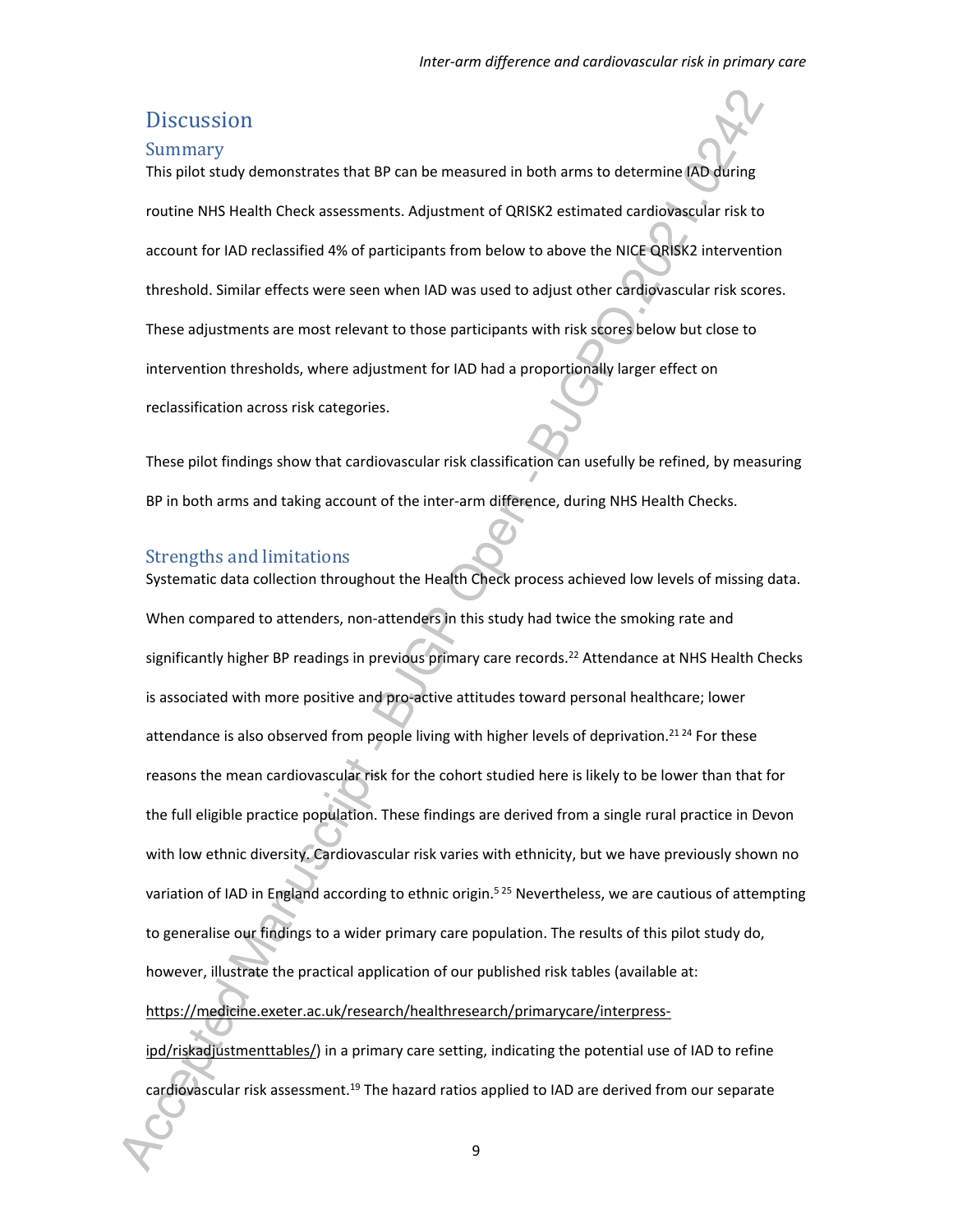### **Discussion**

#### Summary

This pilot study demonstrates that BP can be measured in both arms to determine IAD during routine NHS Health Check assessments. Adjustment of QRISK2 estimated cardiovascular risk to account for IAD reclassified 4% of participants from below to above the NICE QRISK2 intervention threshold. Similar effects were seen when IAD was used to adjust other cardiovascular risk scores. These adjustments are most relevant to those participants with risk scores below but close to intervention thresholds, where adjustment for IAD had a proportionally larger effect on reclassification across risk categories.

These pilot findings show that cardiovascular risk classification can usefully be refined, by measuring BP in both arms and taking account of the inter-arm difference, during NHS Health Checks.

#### Strengths and limitations

Systematic data collection throughout the Health Check process achieved low levels of missing data. When compared to attenders, non-attenders in this study had twice the smoking rate and significantly higher BP readings in previous primary care records.<sup>22</sup> Attendance at NHS Health Checks is associated with more positive and pro-active attitudes toward personal healthcare; lower attendance is also observed from people living with higher levels of deprivation.<sup>2124</sup> For these reasons the mean cardiovascular risk for the cohort studied here is likely to be lower than that for the full eligible practice population. These findings are derived from a single rural practice in Devon with low ethnic diversity. Cardiovascular risk varies with ethnicity, but we have previously shown no variation of IAD in England according to ethnic origin.<sup>525</sup> Nevertheless, we are cautious of attempting to generalise our findings to a wider primary care population. The results of this pilot study do, however, illustrate the practical application of our published risk tables (available at: https://medicine.exeter.ac.uk/research/healthresearch/primarycare/interpressipd/riskadjustmenttables/) in a primary care setting, indicating the potential use of IAD to refine cardiovascular risk assessment.<sup>19</sup> The hazard ratios applied to IAD are derived from our separate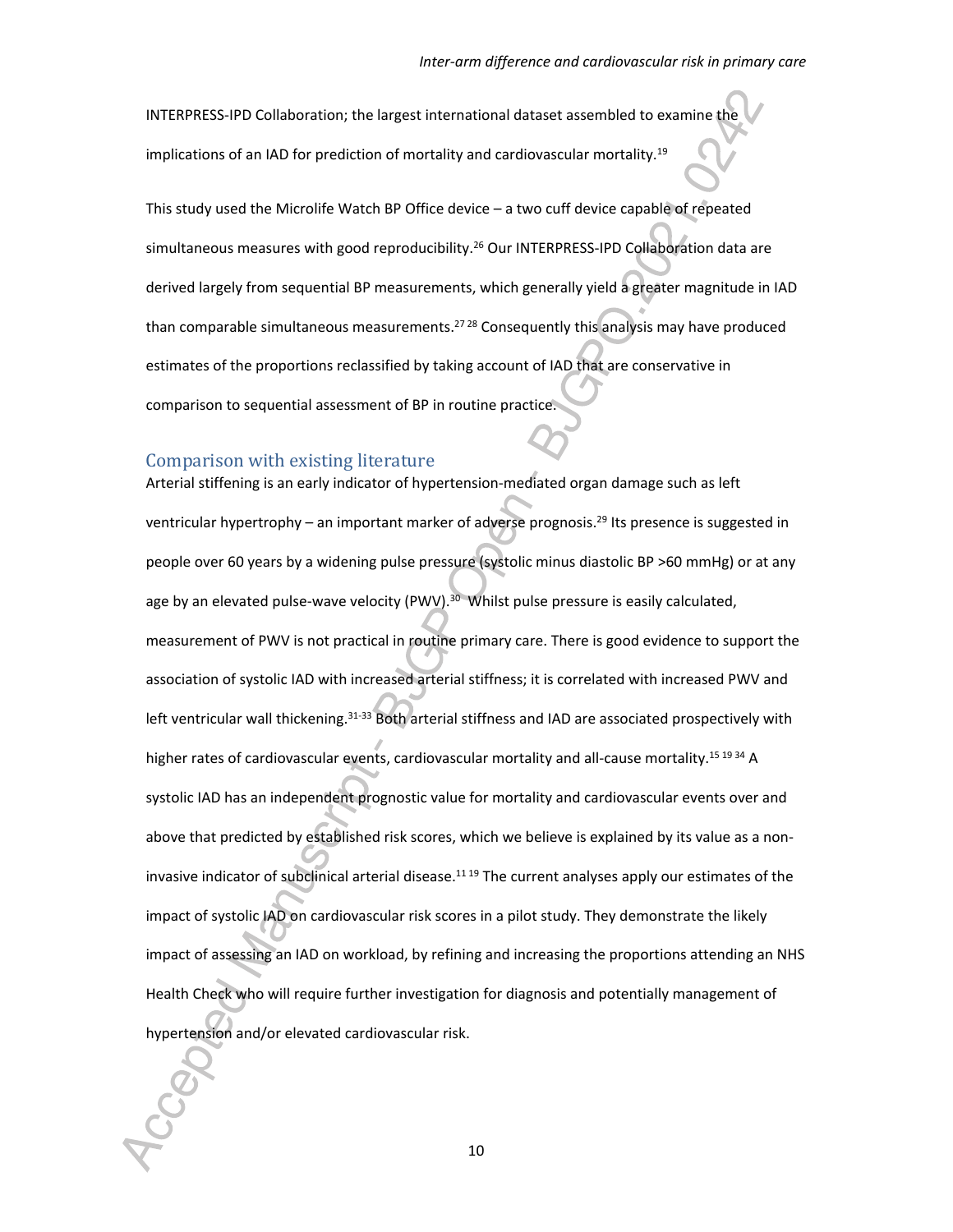INTERPRESS-IPD Collaboration; the largest international dataset assembled to examine the implications of an IAD for prediction of mortality and cardiovascular mortality.<sup>19</sup>

This study used the Microlife Watch BP Office device – a two cuff device capable of repeated simultaneous measures with good reproducibility.<sup>26</sup> Our INTERPRESS-IPD Collaboration data are derived largely from sequential BP measurements, which generally yield a greater magnitude in IAD than comparable simultaneous measurements.<sup>27 28</sup> Consequently this analysis may have produced estimates of the proportions reclassified by taking account of IAD that are conservative in comparison to sequential assessment of BP in routine practice.

#### Comparison with existing literature

Arterial stiffening is an early indicator of hypertension-mediated organ damage such as left ventricular hypertrophy – an important marker of adverse prognosis.<sup>29</sup> Its presence is suggested in people over 60 years by a widening pulse pressure (systolic minus diastolic BP >60 mmHg) or at any age by an elevated pulse-wave velocity (PWV). $30$  Whilst pulse pressure is easily calculated, measurement of PWV is not practical in routine primary care. There is good evidence to support the association of systolic IAD with increased arterial stiffness; it is correlated with increased PWV and left ventricular wall thickening.<sup>31-33</sup> Both arterial stiffness and IAD are associated prospectively with higher rates of cardiovascular events, cardiovascular mortality and all-cause mortality.<sup>15 19 34</sup> A systolic IAD has an independent prognostic value for mortality and cardiovascular events over and above that predicted by established risk scores, which we believe is explained by its value as a noninvasive indicator of subclinical arterial disease. $1119$  The current analyses apply our estimates of the impact of systolic IAD on cardiovascular risk scores in a pilot study. They demonstrate the likely impact of assessing an IAD on workload, by refining and increasing the proportions attending an NHS Health Check who will require further investigation for diagnosis and potentially management of hypertension and/or elevated cardiovascular risk.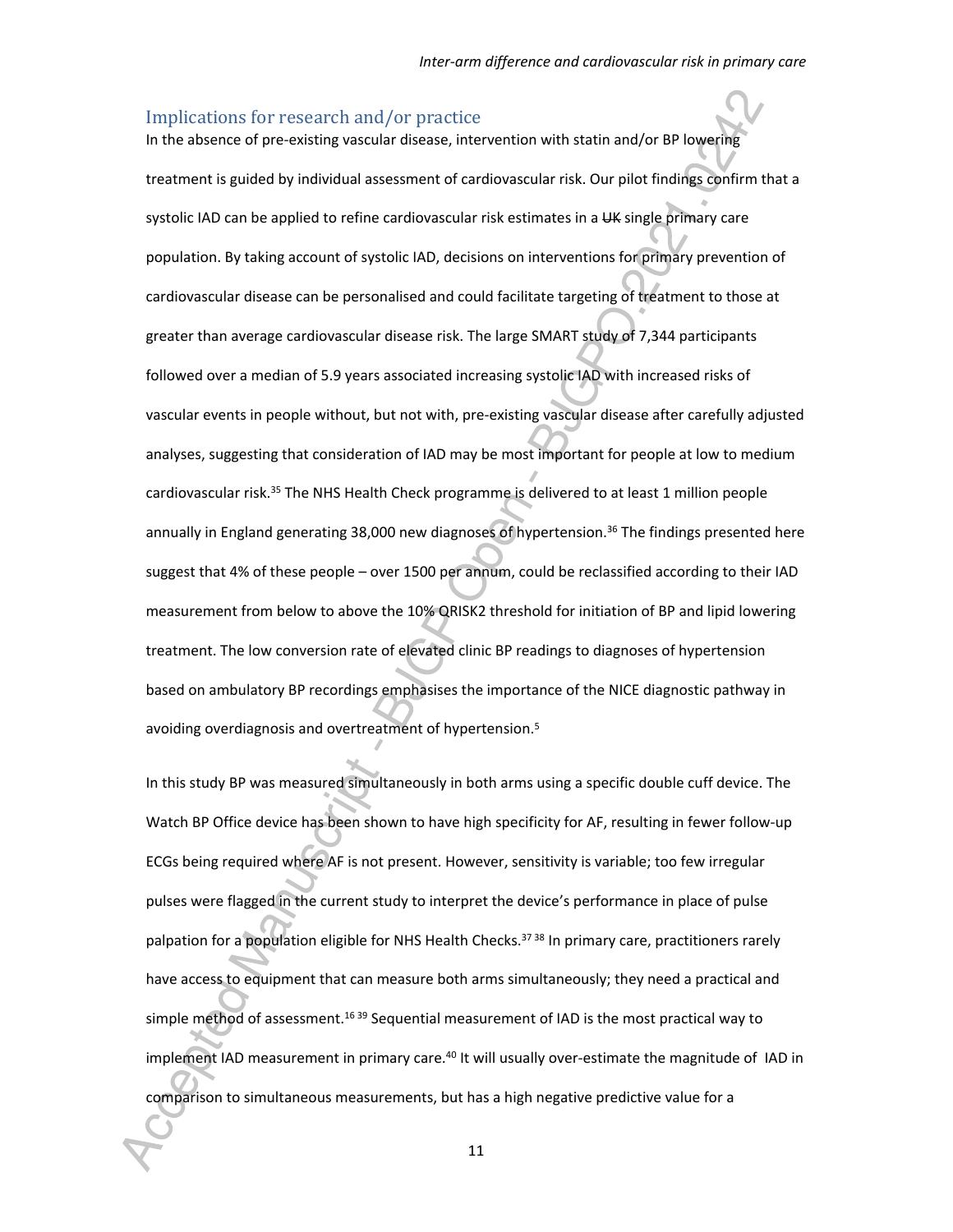#### Implications for research and/or practice

In the absence of pre-existing vascular disease, intervention with statin and/or BP lowering treatment is guided by individual assessment of cardiovascular risk. Our pilot findings confirm that a systolic IAD can be applied to refine cardiovascular risk estimates in a UK single primary care population. By taking account of systolic IAD, decisions on interventions for primary prevention of cardiovascular disease can be personalised and could facilitate targeting of treatment to those at greater than average cardiovascular disease risk. The large SMART study of 7,344 participants followed over a median of 5.9 years associated increasing systolic IAD with increased risks of vascular events in people without, but not with, pre-existing vascular disease after carefully adjusted analyses, suggesting that consideration of IAD may be most important for people at low to medium cardiovascular risk.<sup>35</sup> The NHS Health Check programme is delivered to at least 1 million people annually in England generating 38,000 new diagnoses of hypertension.<sup>36</sup> The findings presented here suggest that 4% of these people – over 1500 per annum, could be reclassified according to their IAD measurement from below to above the 10% QRISK2 threshold for initiation of BP and lipid lowering treatment. The low conversion rate of elevated clinic BP readings to diagnoses of hypertension based on ambulatory BP recordings emphasises the importance of the NICE diagnostic pathway in avoiding overdiagnosis and overtreatment of hypertension.<sup>5</sup>

In this study BP was measured simultaneously in both arms using a specific double cuff device. The Watch BP Office device has been shown to have high specificity for AF, resulting in fewer follow-up ECGs being required where AF is not present. However, sensitivity is variable; too few irregular pulses were flagged in the current study to interpret the device's performance in place of pulse palpation for a population eligible for NHS Health Checks.<sup>37 38</sup> In primary care, practitioners rarely have access to equipment that can measure both arms simultaneously; they need a practical and simple method of assessment.<sup>16 39</sup> Sequential measurement of IAD is the most practical way to implement IAD measurement in primary care.<sup>40</sup> It will usually over-estimate the magnitude of IAD in comparison to simultaneous measurements, but has a high negative predictive value for a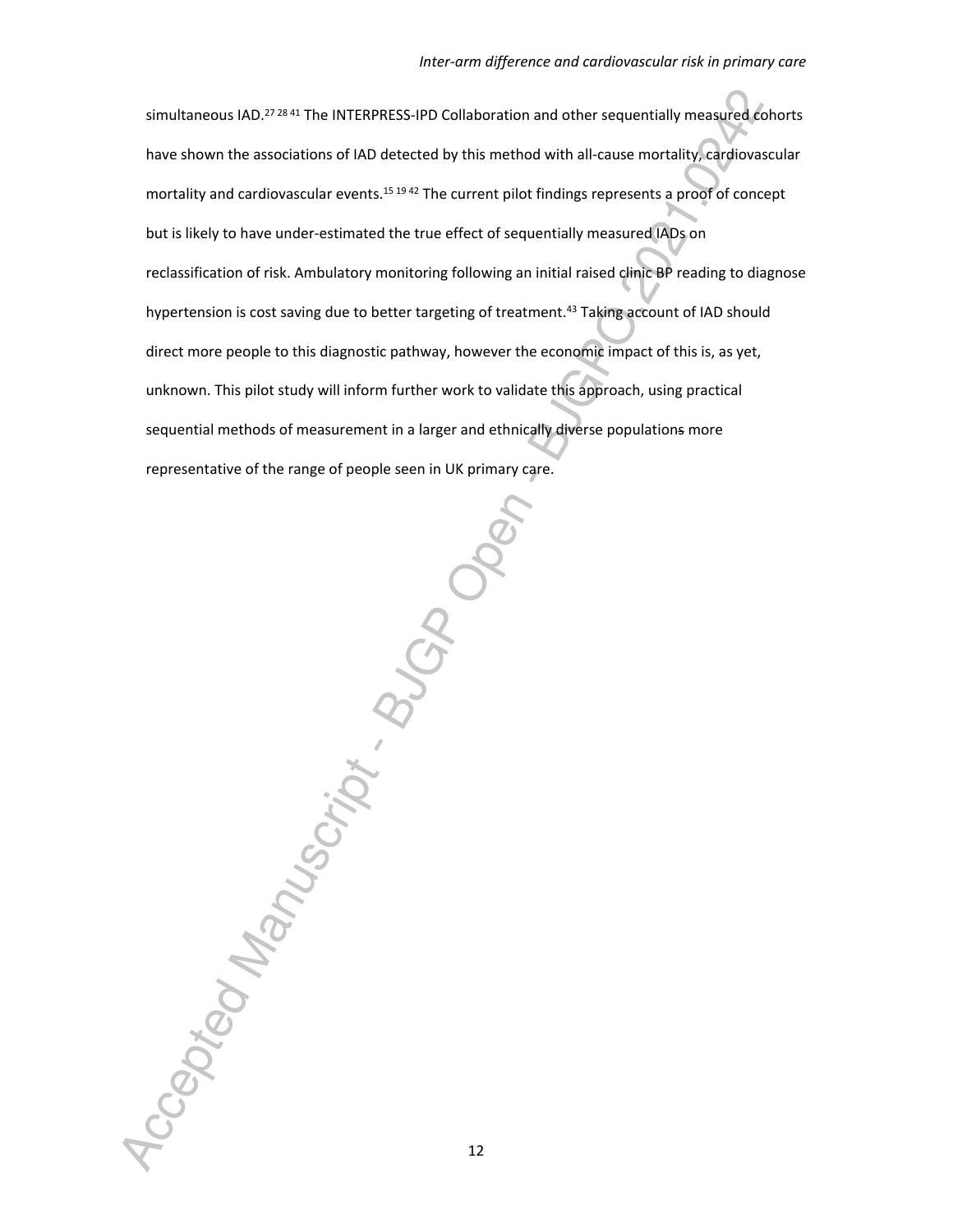simultaneous IAD.<sup>27 28 41</sup> The INTERPRESS-IPD Collaboration and other sequentially measured cohorts have shown the associations of IAD detected by this method with all-cause mortality, cardiovascular mortality and cardiovascular events.<sup>15 19 42</sup> The current pilot findings represents a proof of concept but is likely to have under-estimated the true effect of sequentially measured IADs on reclassification of risk. Ambulatory monitoring following an initial raised clinic BP reading to diagnose hypertension is cost saving due to better targeting of treatment.<sup>43</sup> Taking account of IAD should direct more people to this diagnostic pathway, however the economic impact of this is, as yet, unknown. This pilot study will inform further work to validate this approach, using practical sequential methods of measurement in a larger and ethnically diverse populations more representative of the range of people seen in UK primary care.

Accepted Manuscript B.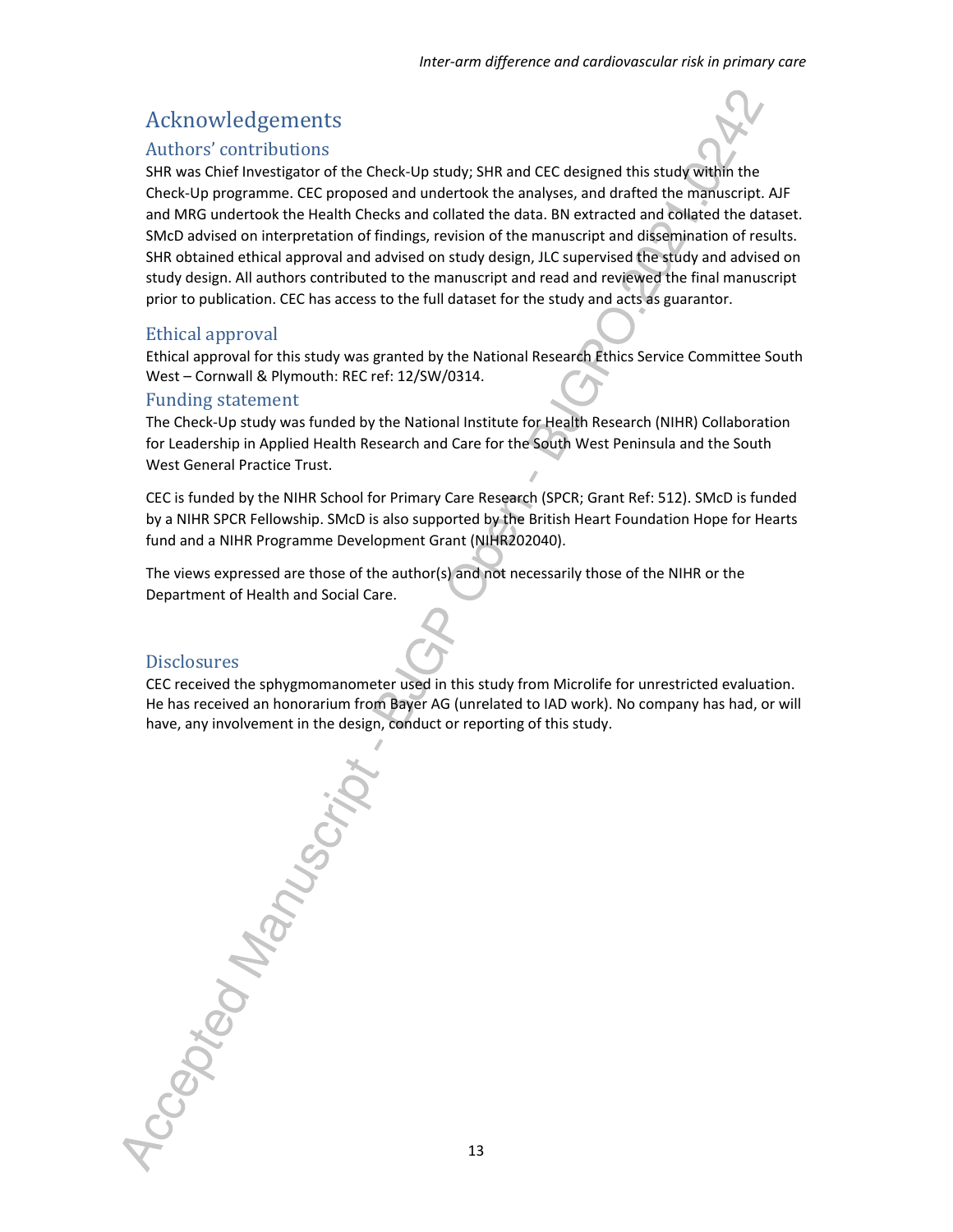# Acknowledgements

### Authors' contributions

SHR was Chief Investigator of the Check-Up study; SHR and CEC designed this study within the Check-Up programme. CEC proposed and undertook the analyses, and drafted the manuscript. AJF and MRG undertook the Health Checks and collated the data. BN extracted and collated the dataset. SMcD advised on interpretation of findings, revision of the manuscript and dissemination of results. SHR obtained ethical approval and advised on study design, JLC supervised the study and advised on study design. All authors contributed to the manuscript and read and reviewed the final manuscript prior to publication. CEC has access to the full dataset for the study and acts as guarantor.

#### Ethical approval

Ethical approval for this study was granted by the National Research Ethics Service Committee South West – Cornwall & Plymouth: REC ref: 12/SW/0314.

#### Funding statement

The Check-Up study was funded by the National Institute for Health Research (NIHR) Collaboration for Leadership in Applied Health Research and Care for the South West Peninsula and the South West General Practice Trust.

CEC is funded by the NIHR School for Primary Care Research (SPCR; Grant Ref: 512). SMcD is funded by a NIHR SPCR Fellowship. SMcD is also supported by the British Heart Foundation Hope for Hearts fund and a NIHR Programme Development Grant (NIHR202040).

The views expressed are those of the author(s) and not necessarily those of the NIHR or the Department of Health and Social Care.

#### **Disclosures**

CEC received the sphygmomanometer used in this study from Microlife for unrestricted evaluation. He has received an honorarium from Bayer AG (unrelated to IAD work). No company has had, or will have, any involvement in the design, conduct or reporting of this study.

Accepted Manuscript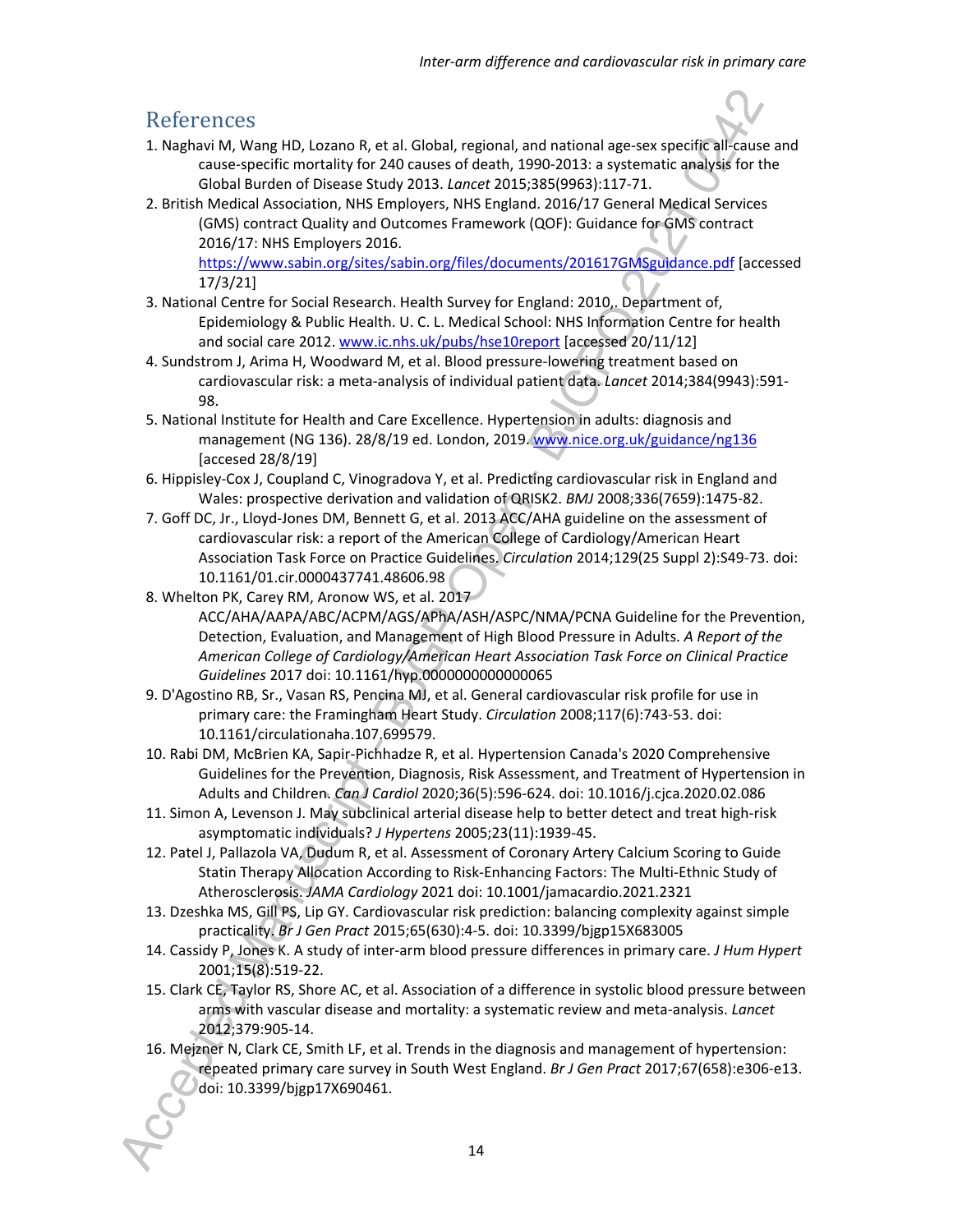## References

- 1. Naghavi M, Wang HD, Lozano R, et al. Global, regional, and national age-sex specific all-cause and cause-specific mortality for 240 causes of death, 1990-2013: a systematic analysis for the Global Burden of Disease Study 2013. *Lancet* 2015;385(9963):117-71.
- 2. British Medical Association, NHS Employers, NHS England. 2016/17 General Medical Services (GMS) contract Quality and Outcomes Framework (QOF): Guidance for GMS contract 2016/17: NHS Employers 2016. https://www.sabin.org/sites/sabin.org/files/documents/201617GMSguidance.pdf [accessed

17/3/21]

- 3. National Centre for Social Research. Health Survey for England: 2010,. Department of, Epidemiology & Public Health. U. C. L. Medical School: NHS Information Centre for health and social care 2012. www.ic.nhs.uk/pubs/hse10report [accessed 20/11/12]
- 4. Sundstrom J, Arima H, Woodward M, et al. Blood pressure-lowering treatment based on cardiovascular risk: a meta-analysis of individual patient data. *Lancet* 2014;384(9943):591- 98.
- 5. National Institute for Health and Care Excellence. Hypertension in adults: diagnosis and management (NG 136). 28/8/19 ed. London, 2019. www.nice.org.uk/guidance/ng136 [accesed 28/8/19]
- 6. Hippisley-Cox J, Coupland C, Vinogradova Y, et al. Predicting cardiovascular risk in England and Wales: prospective derivation and validation of QRISK2. *BMJ* 2008;336(7659):1475-82.
- 7. Goff DC, Jr., Lloyd-Jones DM, Bennett G, et al. 2013 ACC/AHA guideline on the assessment of cardiovascular risk: a report of the American College of Cardiology/American Heart Association Task Force on Practice Guidelines. *Circulation* 2014;129(25 Suppl 2):S49-73. doi: 10.1161/01.cir.0000437741.48606.98
- 8. Whelton PK, Carey RM, Aronow WS, et al. 2017 ACC/AHA/AAPA/ABC/ACPM/AGS/APhA/ASH/ASPC/NMA/PCNA Guideline for the Prevention, Detection, Evaluation, and Management of High Blood Pressure in Adults. *A Report of the American College of Cardiology/American Heart Association Task Force on Clinical Practice Guidelines* 2017 doi: 10.1161/hyp.0000000000000065
- 9. D'Agostino RB, Sr., Vasan RS, Pencina MJ, et al. General cardiovascular risk profile for use in primary care: the Framingham Heart Study. *Circulation* 2008;117(6):743-53. doi: 10.1161/circulationaha.107.699579.
- 10. Rabi DM, McBrien KA, Sapir-Pichhadze R, et al. Hypertension Canada's 2020 Comprehensive Guidelines for the Prevention, Diagnosis, Risk Assessment, and Treatment of Hypertension in Adults and Children. *Can J Cardiol* 2020;36(5):596-624. doi: 10.1016/j.cjca.2020.02.086
- 11. Simon A, Levenson J. May subclinical arterial disease help to better detect and treat high-risk asymptomatic individuals? *J Hypertens* 2005;23(11):1939-45.
- 12. Patel J, Pallazola VA, Dudum R, et al. Assessment of Coronary Artery Calcium Scoring to Guide Statin Therapy Allocation According to Risk-Enhancing Factors: The Multi-Ethnic Study of Atherosclerosis. *JAMA Cardiology* 2021 doi: 10.1001/jamacardio.2021.2321
- 13. Dzeshka MS, Gill PS, Lip GY. Cardiovascular risk prediction: balancing complexity against simple practicality. *Br J Gen Pract* 2015;65(630):4-5. doi: 10.3399/bjgp15X683005
- 14. Cassidy P, Jones K. A study of inter-arm blood pressure differences in primary care. *J Hum Hypert* 2001;15(8):519-22.
- 15. Clark CE, Taylor RS, Shore AC, et al. Association of a difference in systolic blood pressure between arms with vascular disease and mortality: a systematic review and meta-analysis. *Lancet* 2012;379:905-14.
- 16. Mejzner N, Clark CE, Smith LF, et al. Trends in the diagnosis and management of hypertension: repeated primary care survey in South West England. *Br J Gen Pract* 2017;67(658):e306-e13. doi: 10.3399/bjgp17X690461.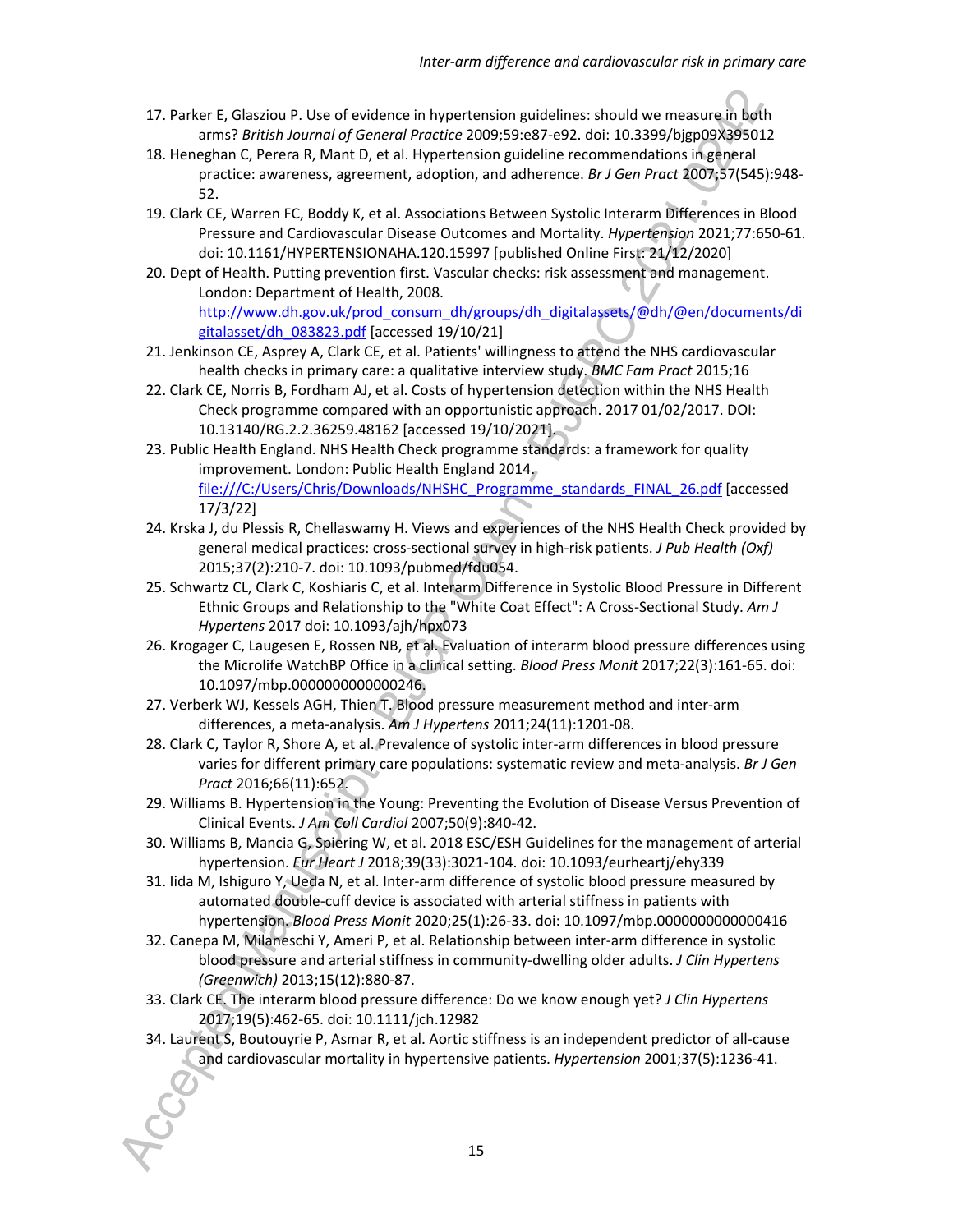- 17. Parker E, Glasziou P. Use of evidence in hypertension guidelines: should we measure in both arms? *British Journal of General Practice* 2009;59:e87-e92. doi: 10.3399/bjgp09X395012
- 18. Heneghan C, Perera R, Mant D, et al. Hypertension guideline recommendations in general practice: awareness, agreement, adoption, and adherence. *Br J Gen Pract* 2007;57(545):948- 52.
- 19. Clark CE, Warren FC, Boddy K, et al. Associations Between Systolic Interarm Differences in Blood Pressure and Cardiovascular Disease Outcomes and Mortality. *Hypertension* 2021;77:650-61. doi: 10.1161/HYPERTENSIONAHA.120.15997 [published Online First: 21/12/2020]
- 20. Dept of Health. Putting prevention first. Vascular checks: risk assessment and management. London: Department of Health, 2008. http://www.dh.gov.uk/prod\_consum\_dh/groups/dh\_digitalassets/@dh/@en/documents/di
- gitalasset/dh\_083823.pdf [accessed 19/10/21] 21. Jenkinson CE, Asprey A, Clark CE, et al. Patients' willingness to attend the NHS cardiovascular health checks in primary care: a qualitative interview study. *BMC Fam Pract* 2015;16
- 22. Clark CE, Norris B, Fordham AJ, et al. Costs of hypertension detection within the NHS Health Check programme compared with an opportunistic approach. 2017 01/02/2017. DOI: 10.13140/RG.2.2.36259.48162 [accessed 19/10/2021].
- 23. Public Health England. NHS Health Check programme standards: a framework for quality improvement. London: Public Health England 2014. file:///C:/Users/Chris/Downloads/NHSHC\_Programme\_standards\_FINAL\_26.pdf [accessed 17/3/22]
- 24. Krska J, du Plessis R, Chellaswamy H. Views and experiences of the NHS Health Check provided by general medical practices: cross-sectional survey in high-risk patients. *J Pub Health (Oxf)* 2015;37(2):210-7. doi: 10.1093/pubmed/fdu054.
- 25. Schwartz CL, Clark C, Koshiaris C, et al. Interarm Difference in Systolic Blood Pressure in Different Ethnic Groups and Relationship to the "White Coat Effect": A Cross-Sectional Study. *Am J Hypertens* 2017 doi: 10.1093/ajh/hpx073
- 26. Krogager C, Laugesen E, Rossen NB, et al. Evaluation of interarm blood pressure differences using the Microlife WatchBP Office in a clinical setting. *Blood Press Monit* 2017;22(3):161-65. doi: 10.1097/mbp.0000000000000246.
- 27. Verberk WJ, Kessels AGH, Thien T. Blood pressure measurement method and inter-arm differences, a meta-analysis. *Am J Hypertens* 2011;24(11):1201-08.
- 28. Clark C, Taylor R, Shore A, et al. Prevalence of systolic inter-arm differences in blood pressure varies for different primary care populations: systematic review and meta-analysis. *Br J Gen Pract* 2016;66(11):652.
- 29. Williams B. Hypertension in the Young: Preventing the Evolution of Disease Versus Prevention of Clinical Events. *J Am Coll Cardiol* 2007;50(9):840-42.
- 30. Williams B, Mancia G, Spiering W, et al. 2018 ESC/ESH Guidelines for the management of arterial hypertension. *Eur Heart J* 2018;39(33):3021-104. doi: 10.1093/eurheartj/ehy339
- 31. Iida M, Ishiguro Y, Ueda N, et al. Inter-arm difference of systolic blood pressure measured by automated double-cuff device is associated with arterial stiffness in patients with hypertension. *Blood Press Monit* 2020;25(1):26-33. doi: 10.1097/mbp.0000000000000416
- 32. Canepa M, Milaneschi Y, Ameri P, et al. Relationship between inter-arm difference in systolic blood pressure and arterial stiffness in community-dwelling older adults. *J Clin Hypertens (Greenwich)* 2013;15(12):880-87.
- 33. Clark CE. The interarm blood pressure difference: Do we know enough yet? *J Clin Hypertens*  2017;19(5):462-65. doi: 10.1111/jch.12982
- 34. Laurent S, Boutouyrie P, Asmar R, et al. Aortic stiffness is an independent predictor of all-cause and cardiovascular mortality in hypertensive patients. *Hypertension* 2001;37(5):1236-41.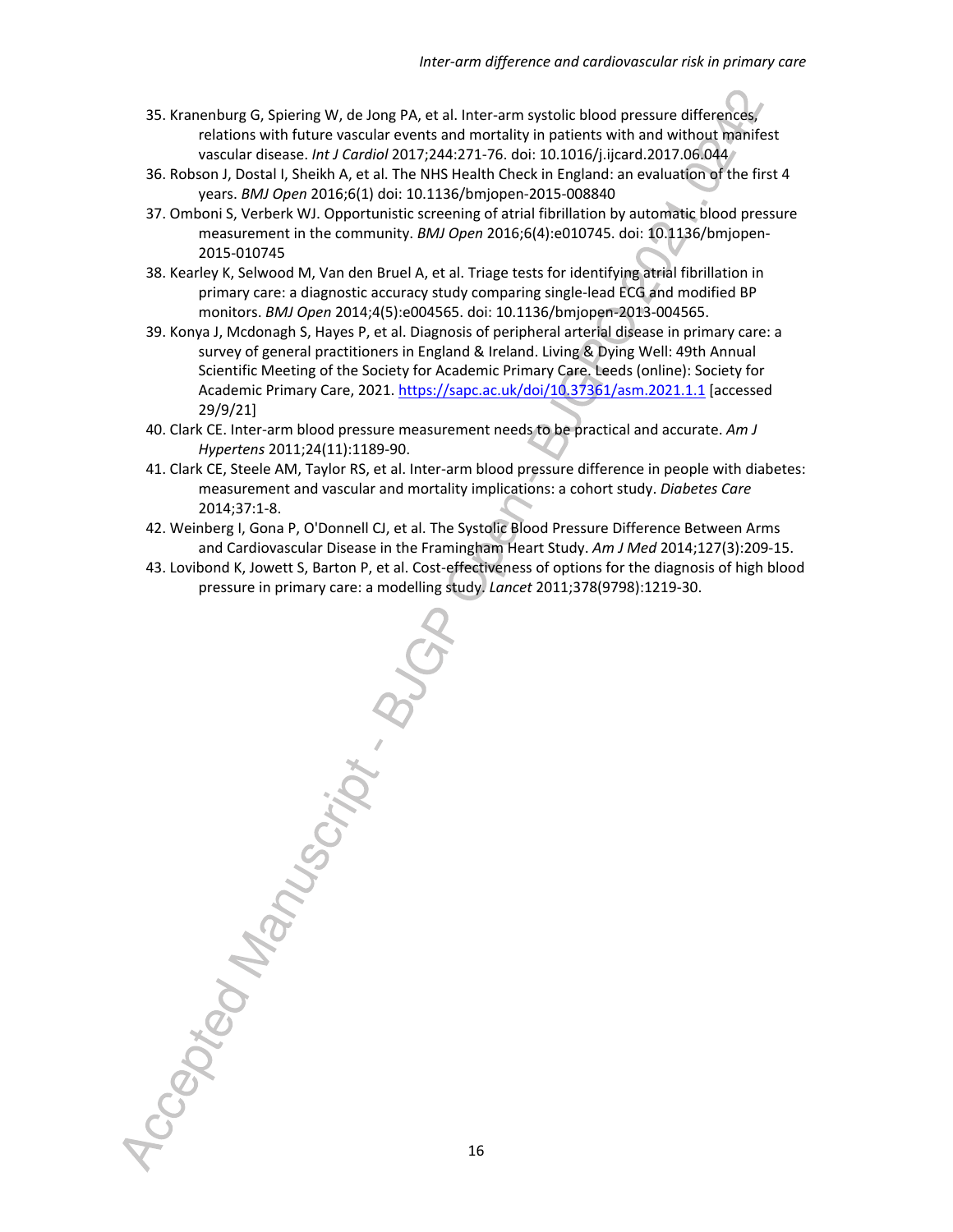- 35. Kranenburg G, Spiering W, de Jong PA, et al. Inter-arm systolic blood pressure differences, relations with future vascular events and mortality in patients with and without manifest vascular disease. *Int J Cardiol* 2017;244:271-76. doi: 10.1016/j.ijcard.2017.06.044
- 36. Robson J, Dostal I, Sheikh A, et al. The NHS Health Check in England: an evaluation of the first 4 years. *BMJ Open* 2016;6(1) doi: 10.1136/bmjopen-2015-008840
- 37. Omboni S, Verberk WJ. Opportunistic screening of atrial fibrillation by automatic blood pressure measurement in the community. *BMJ Open* 2016;6(4):e010745. doi: 10.1136/bmjopen-2015-010745
- 38. Kearley K, Selwood M, Van den Bruel A, et al. Triage tests for identifying atrial fibrillation in primary care: a diagnostic accuracy study comparing single-lead ECG and modified BP monitors. *BMJ Open* 2014;4(5):e004565. doi: 10.1136/bmjopen-2013-004565.
- 39. Konya J, Mcdonagh S, Hayes P, et al. Diagnosis of peripheral arterial disease in primary care: a survey of general practitioners in England & Ireland. Living & Dying Well: 49th Annual Scientific Meeting of the Society for Academic Primary Care. Leeds (online): Society for Academic Primary Care, 2021. https://sapc.ac.uk/doi/10.37361/asm.2021.1.1 [accessed 29/9/21]
- 40. Clark CE. Inter-arm blood pressure measurement needs to be practical and accurate. *Am J Hypertens* 2011;24(11):1189-90.
- 41. Clark CE, Steele AM, Taylor RS, et al. Inter-arm blood pressure difference in people with diabetes: measurement and vascular and mortality implications: a cohort study. *Diabetes Care* 2014;37:1-8.
- 42. Weinberg I, Gona P, O'Donnell CJ, et al. The Systolic Blood Pressure Difference Between Arms and Cardiovascular Disease in the Framingham Heart Study. *Am J Med* 2014;127(3):209-15.
- Accepted Manuscript . BUC 43. Lovibond K, Jowett S, Barton P, et al. Cost-effectiveness of options for the diagnosis of high blood pressure in primary care: a modelling study. *Lancet* 2011;378(9798):1219-30.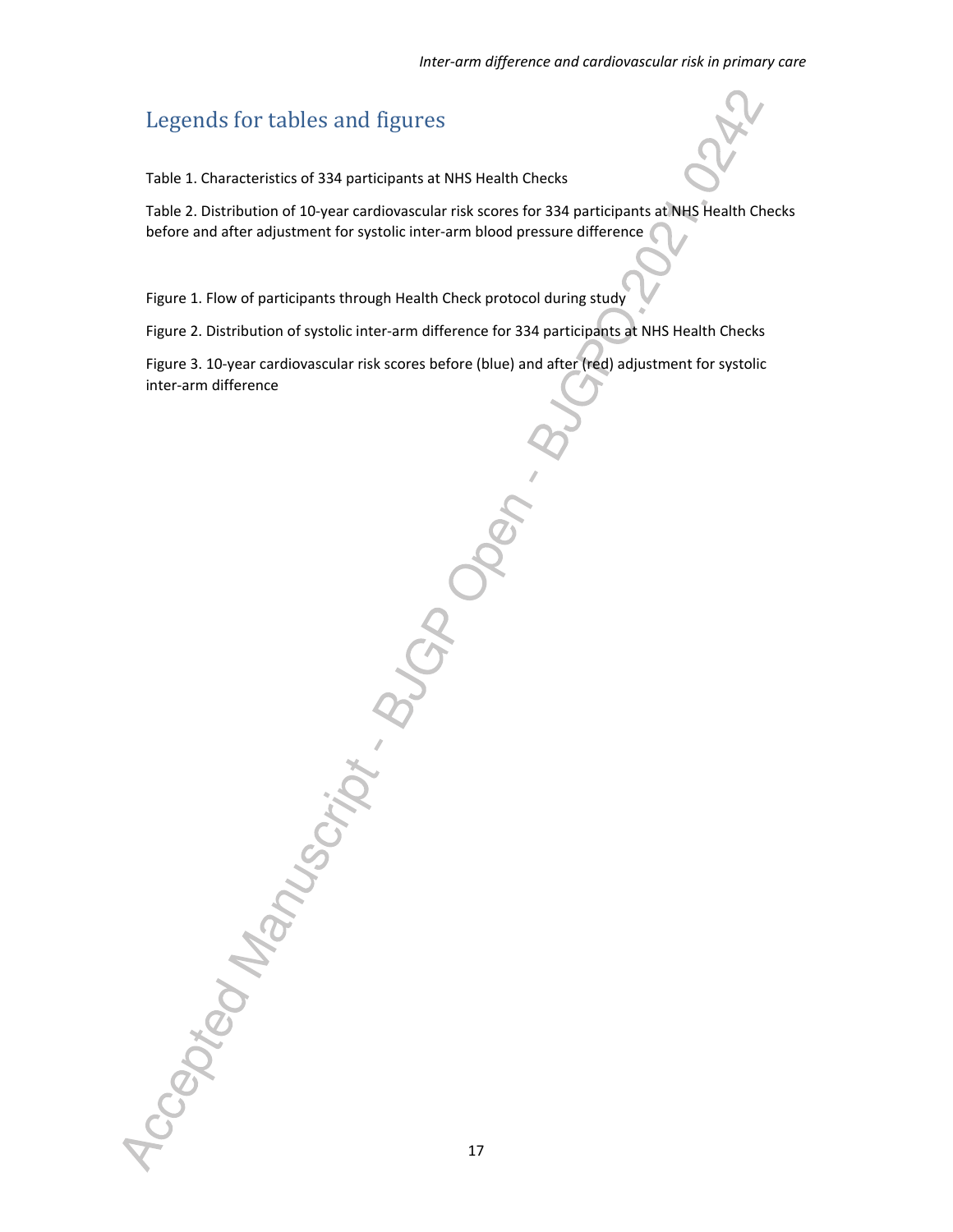# Legends for tables and figures

Table 1. Characteristics of 334 participants at NHS Health Checks

Table 2. Distribution of 10-year cardiovascular risk scores for 334 participants at NHS Health Checks before and after adjustment for systolic inter-arm blood pressure difference

Figure 1. Flow of participants through Health Check protocol during study

Figure 2. Distribution of systolic inter-arm difference for 334 participants at NHS Health Checks

Figure 3. 10-year cardiovascular risk scores before (blue) and after (red) adjustment for systolic inter-arm difference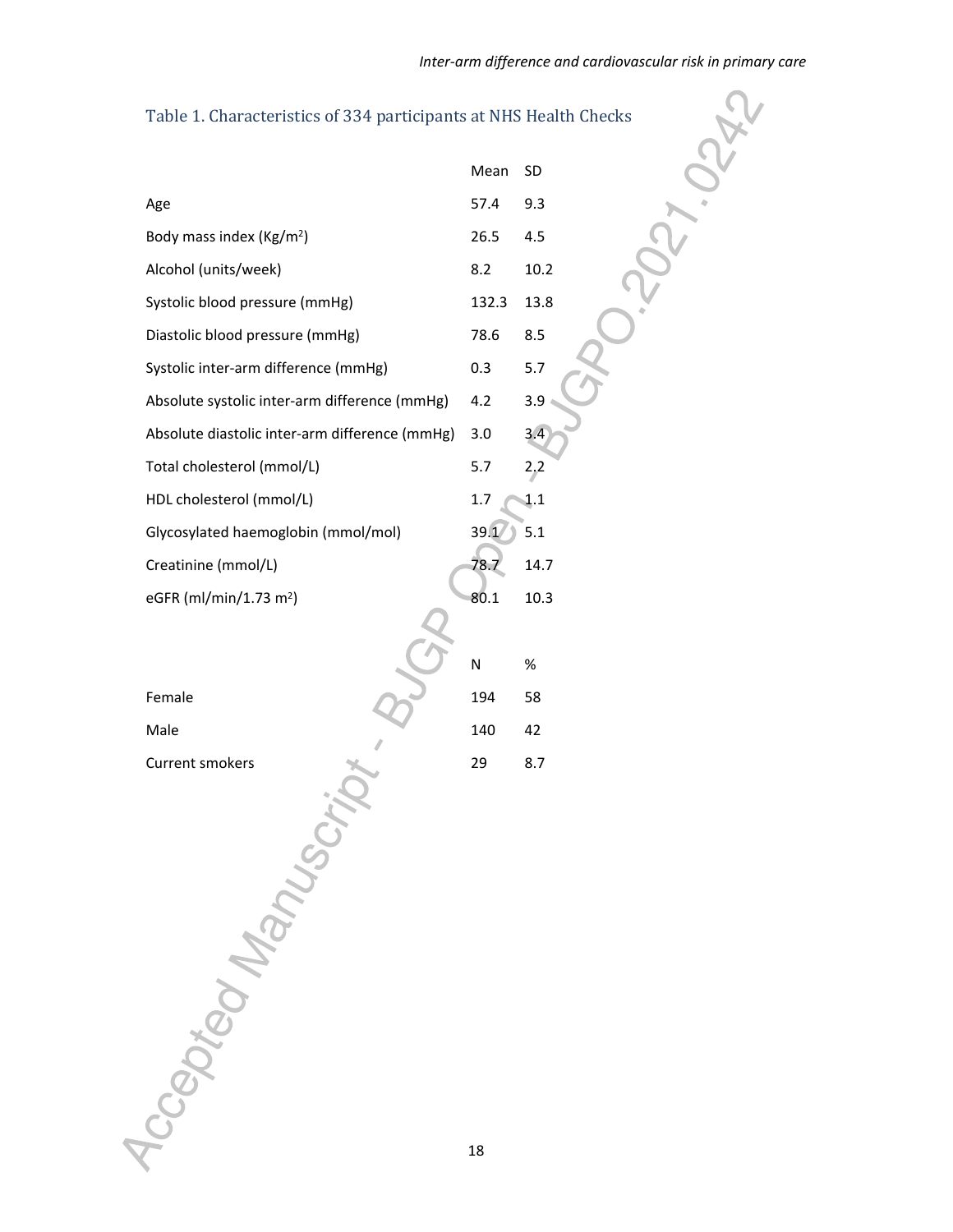| Table 1. Characteristics of 334 participants at NHS Health Checks |       |      |
|-------------------------------------------------------------------|-------|------|
|                                                                   | Mean  | SD   |
| Age                                                               | 57.4  | 9.3  |
| Body mass index (Kg/m <sup>2</sup> )                              | 26.5  | 4.5  |
| Alcohol (units/week)                                              | 8.2   | 10.2 |
| Systolic blood pressure (mmHg)                                    | 132.3 | 13.8 |
| Diastolic blood pressure (mmHg)                                   | 78.6  | 8.5  |
| Systolic inter-arm difference (mmHg)                              | 0.3   | 5.7  |
| Absolute systolic inter-arm difference (mmHg)                     | 4.2   | 3.9  |
| Absolute diastolic inter-arm difference (mmHg)                    | 3.0   | 3.4  |
| Total cholesterol (mmol/L)                                        | 5.7   | 2,2  |
| HDL cholesterol (mmol/L)                                          | 1.7   | 1.1  |
| Glycosylated haemoglobin (mmol/mol)                               | 39.1  | 5.1  |
| Creatinine (mmol/L)                                               | 78.7  | 14.7 |
| eGFR (ml/min/1.73 m <sup>2</sup> )                                | 80.1  | 10.3 |
|                                                                   |       |      |
|                                                                   | N     | $\%$ |
| Female                                                            | 194   | 58   |
| Male                                                              | 140   | 42   |
|                                                                   | 29    | 8.7  |
| locaption Manuscript                                              |       |      |
|                                                                   | 18    |      |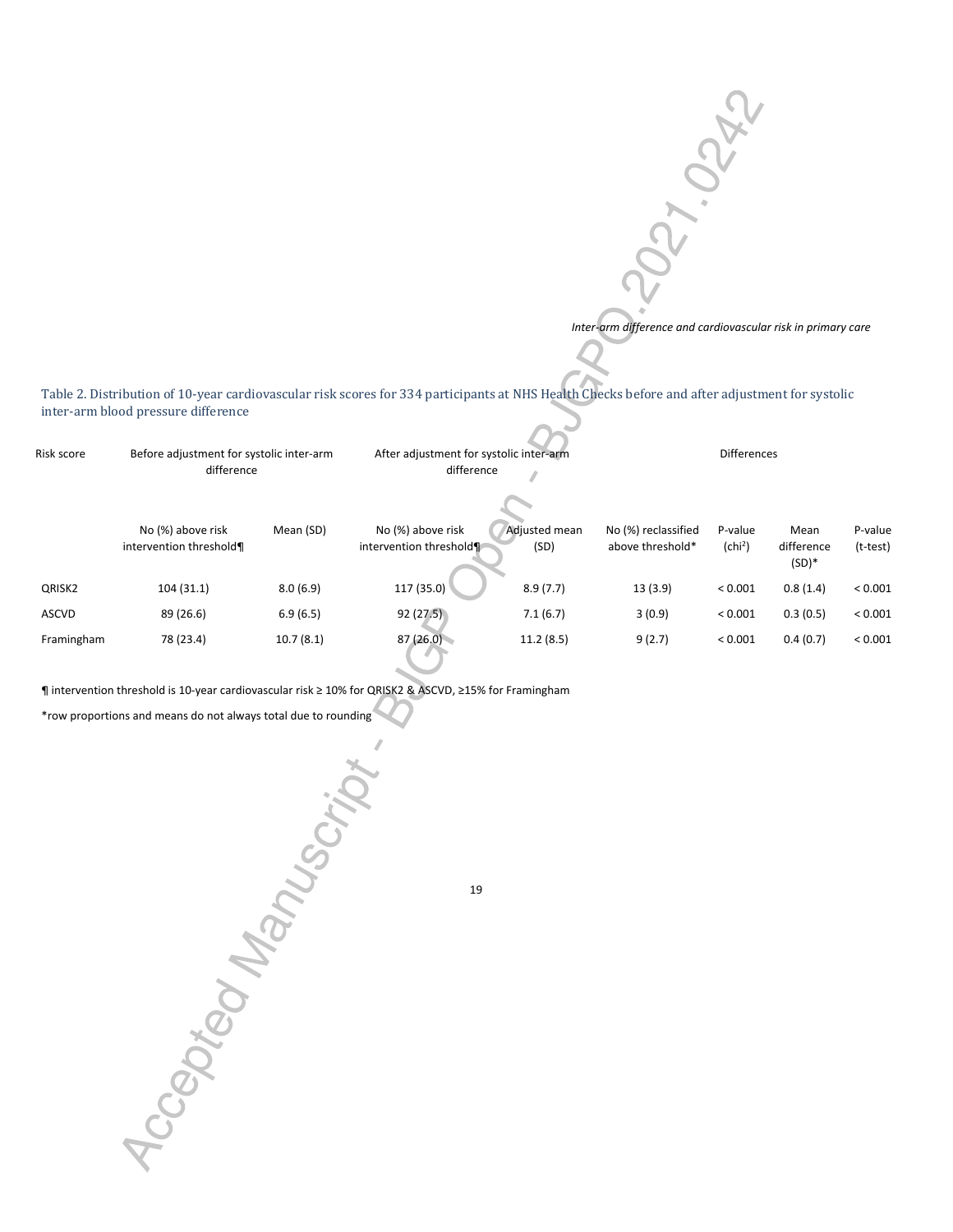*Inter-arm difference and cardiovascular risk in primary care*

**PAY. OCAL** 

Table 2. Distribution of 10-year cardiovascular risk scores for 334 participants at NHS Health Checks before and after adjustment for systolic inter-arm blood pressure difference

| Risk score   | Before adjustment for systolic inter-arm<br>difference |           | After adjustment for systolic inter-arm<br>difference |                       | <b>Differences</b>                      |                                |                                |                     |
|--------------|--------------------------------------------------------|-----------|-------------------------------------------------------|-----------------------|-----------------------------------------|--------------------------------|--------------------------------|---------------------|
|              | No (%) above risk<br>intervention threshold¶           | Mean (SD) | No (%) above risk<br>intervention threshold           | Adjusted mean<br>(SD) | No (%) reclassified<br>above threshold* | P-value<br>(chi <sup>2</sup> ) | Mean<br>difference<br>$(SD)^*$ | P-value<br>(t-test) |
| QRISK2       | 104(31.1)                                              | 8.0(6.9)  | 117 (35.0)                                            | 8.9(7.7)              | 13(3.9)                                 | ${}< 0.001$                    | 0.8(1.4)                       | ${}_{< 0.001}$      |
| <b>ASCVD</b> | 89 (26.6)                                              | 6.9(6.5)  | 92(27.5)                                              | 7.1(6.7)              | 3(0.9)                                  | ${}< 0.001$                    | 0.3(0.5)                       | ${}< 0.001$         |
| Framingham   | 78 (23.4)                                              | 10.7(8.1) | 87(26.0)                                              | 11.2(8.5)             | 9(2.7)                                  | ${}< 0.001$                    | 0.4(0.7)                       | ${}_{0.001}$        |

¶ intervention threshold is 10-year cardiovascular risk ≥ 10% for QRISK2 & ASCVD, ≥15% for Framingham

\*row proportions and means do not always total due to rounding

19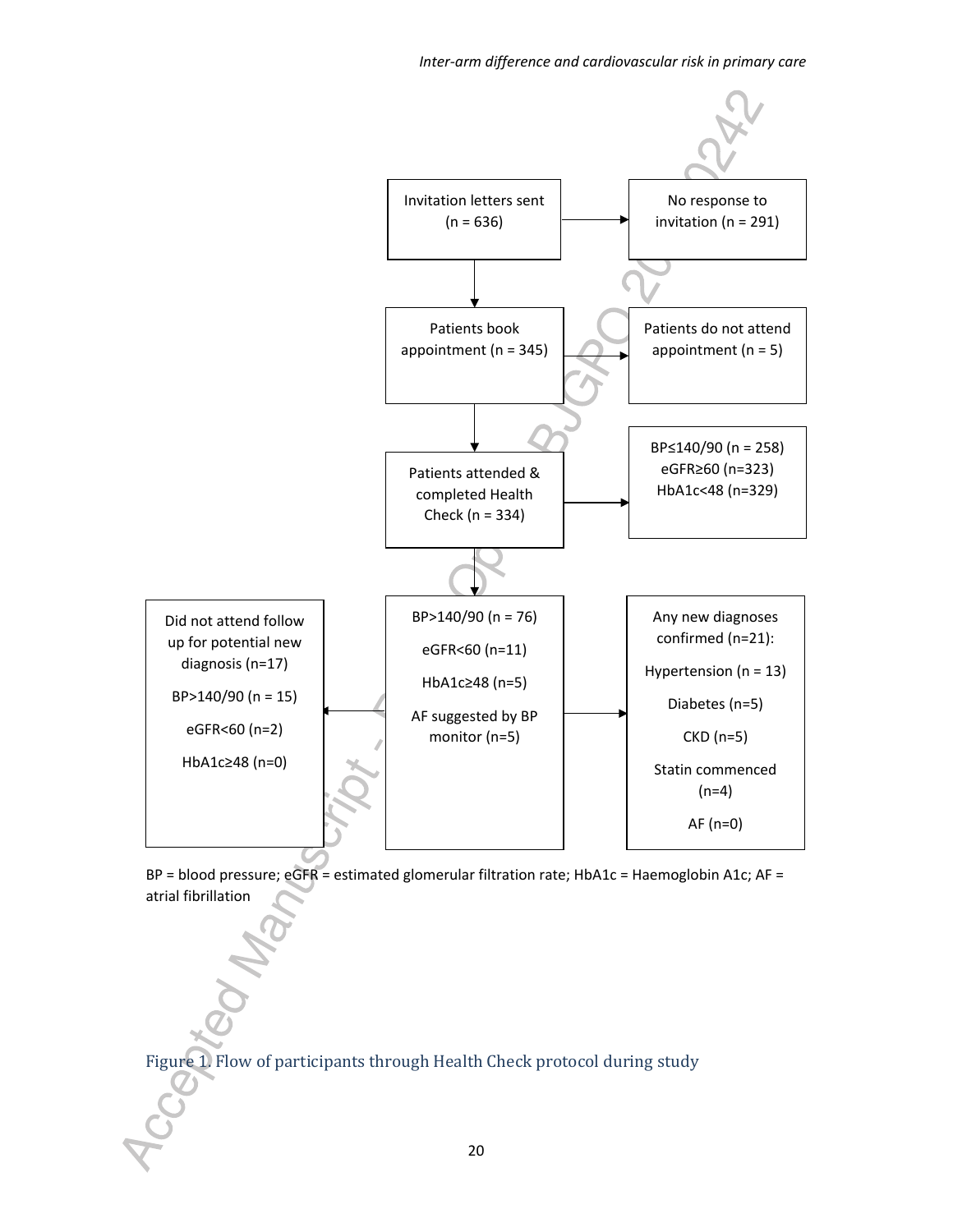

BP = blood pressure; eGFR = estimated glomerular filtration rate; HbA1c = Haemoglobin A1c; AF = atrial fibrillation

Figure 1. Flow of participants through Health Check protocol during study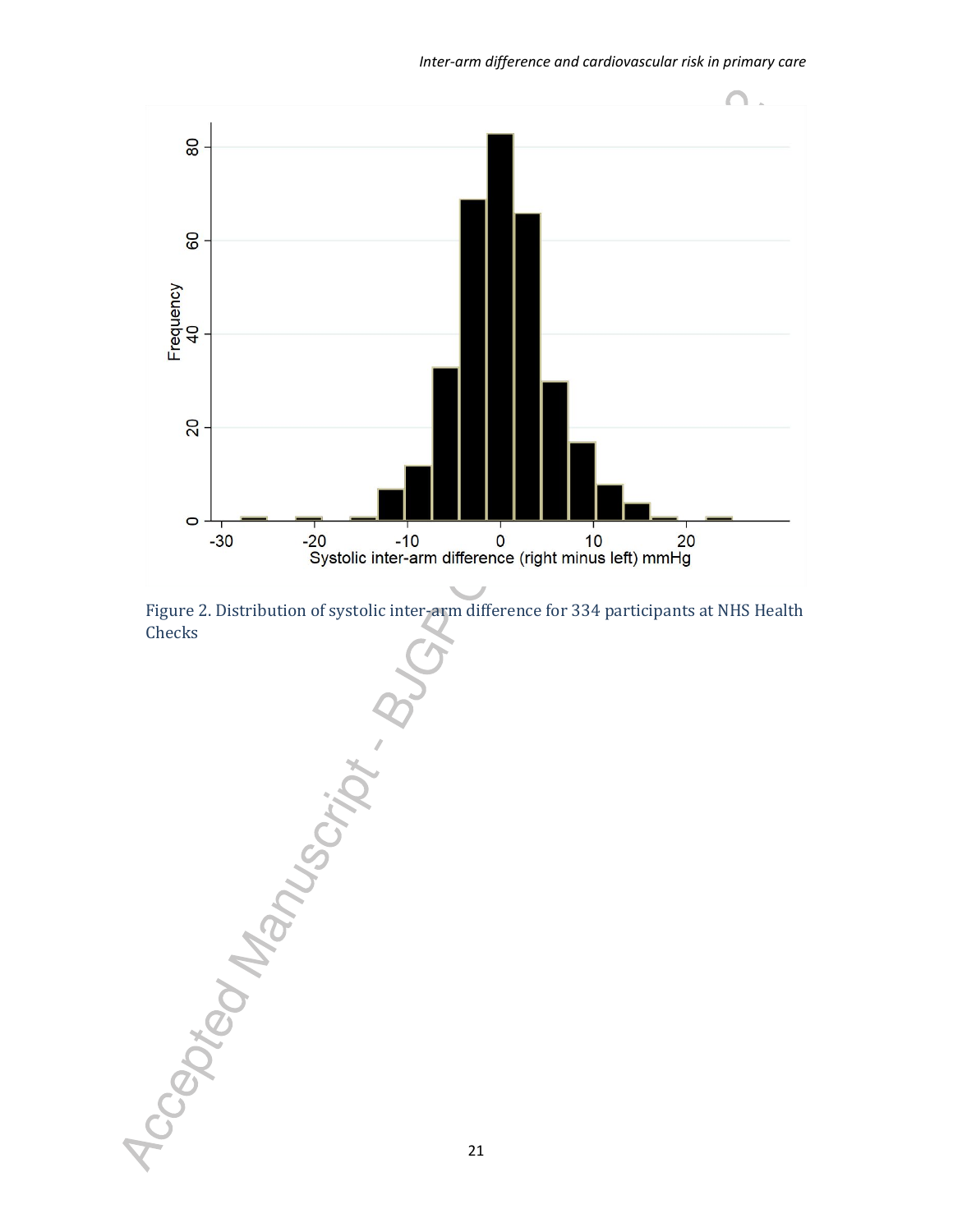



Accepted Manuscript . B 21